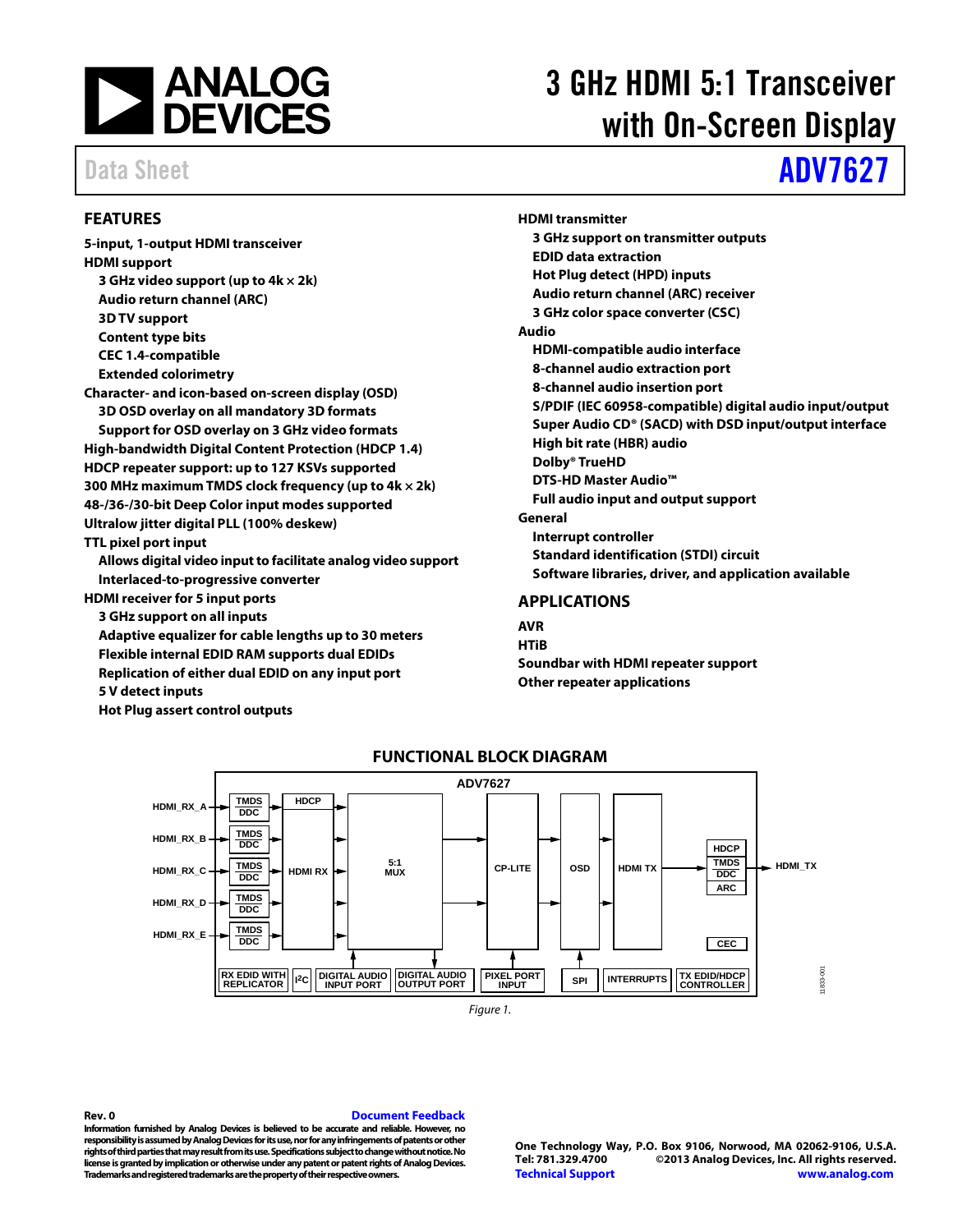

# 3 GHz HDMI 5:1 Transceiver with On-Screen Display

# Data Sheet **[ADV7627](http://www.analog.com/ADV7627?doc=ADV7627.pdf)**

## <span id="page-0-0"></span>**FEATURES**

**5-input, 1-output HDMI transceiver HDMI support 3 GHz video support (up to 4k × 2k) Audio return channel (ARC) 3D TV support Content type bits CEC 1.4-compatible Extended colorimetry Character- and icon-based on-screen display (OSD) 3D OSD overlay on all mandatory 3D formats Support for OSD overlay on 3 GHz video formats High-bandwidth Digital Content Protection (HDCP 1.4) HDCP repeater support: up to 127 KSVs supported 300 MHz maximum TMDS clock frequency (up to 4k × 2k) 48-/36-/30-bit Deep Color input modes supported Ultralow jitter digital PLL (100% deskew) TTL pixel port input Allows digital video input to facilitate analog video support Interlaced-to-progressive converter HDMI receiver for 5 input ports 3 GHz support on all inputs Adaptive equalizer for cable lengths up to 30 meters Flexible internal EDID RAM supports dual EDIDs Replication of either dual EDID on any input port 5 V detect inputs**

<span id="page-0-2"></span>**Hot Plug assert control outputs**

**3 GHz support on transmitter outputs EDID data extraction Hot Plug detect (HPD) inputs Audio return channel (ARC) receiver 3 GHz color space converter (CSC) Audio HDMI-compatible audio interface 8-channel audio extraction port 8-channel audio insertion port S/PDIF (IEC 60958-compatible) digital audio input/output Super Audio CD® (SACD) with DSD input/output interface High bit rate (HBR) audio Dolby® TrueHD DTS-HD Master Audio™ Full audio input and output support General Interrupt controller Standard identification (STDI) circuit Software libraries, driver, and application available**

## <span id="page-0-1"></span>**APPLICATIONS**

**HDMI transmitter**

**AVR HTiB Soundbar with HDMI repeater support Other repeater applications**



## **FUNCTIONAL BLOCK DIAGRAM**

*Figure 1.* 

### **Rev. 0 [Document Feedback](https://form.analog.com/Form_Pages/feedback/documentfeedback.aspx?doc=ADV7627.pdf&product=ADV7627&rev=0)**

**Information furnished by [Analog Devices is](http://www.analog.com) believed to be accurate and reliable. However, no responsibility is assumed by Analog Devices for its use, nor for any infringements of patents or other rights of third parties that may result from its use. Specifications subject to change without notice. No license is granted by implication or otherwise under any patent or patent rights o[f Analog Devices.](http://www.analog.com)  Trademarks and registered trademarks are the property of their respective owners.**

**One Technology Way, P.O. Box 9106, Norwood, MA 02062-9106, U.S.A. Tel: 781.329.4700 ©2013 [Analog Devices, Inc.](http://www.analog.com) All rights reserved. [Technical Support](http://www.analog.com/en/content/technical_support_page/fca.html) [www.analog.com](http://www.analog.com/)**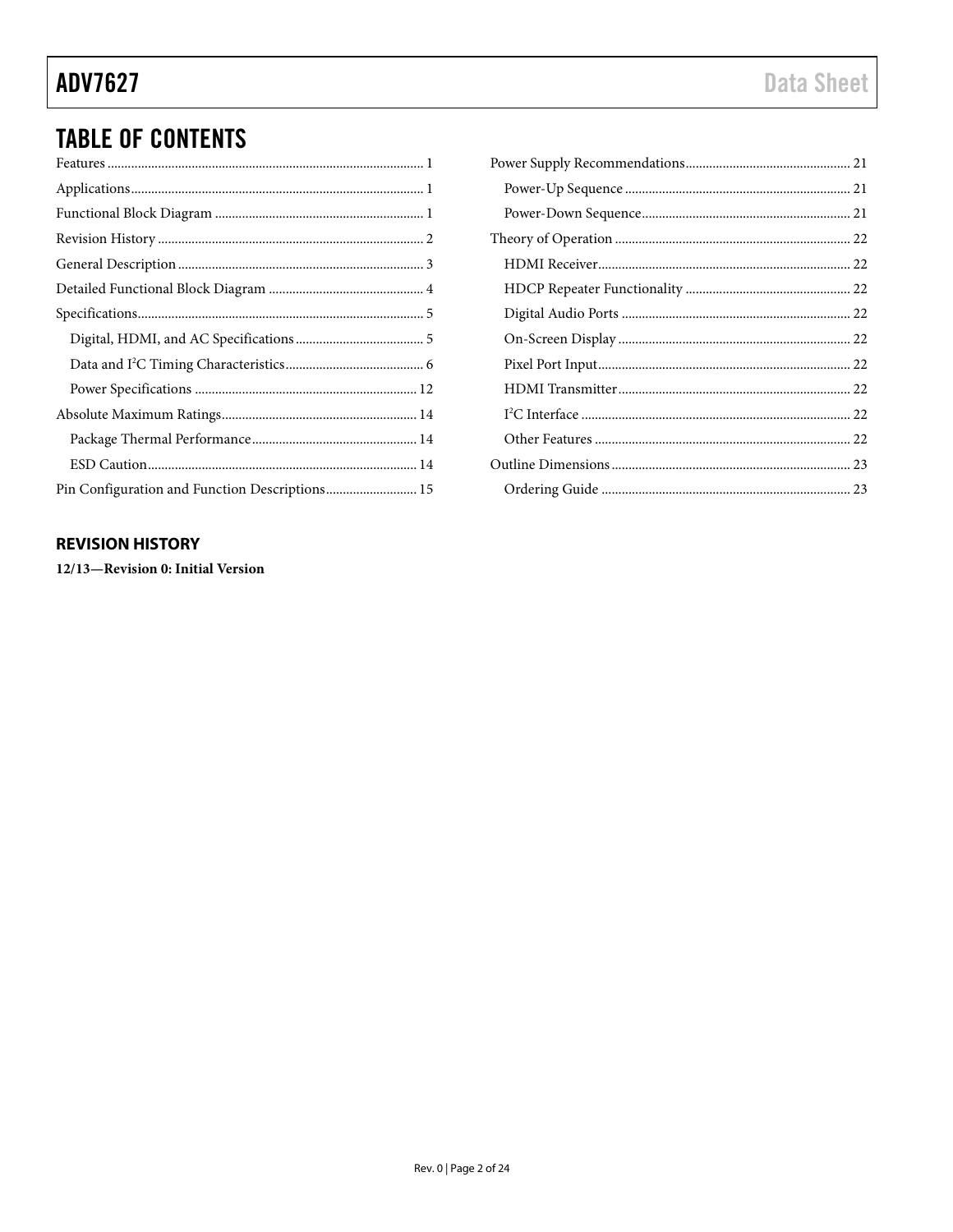# **TABLE OF CONTENTS**

| Pin Configuration and Function Descriptions 15 |
|------------------------------------------------|

## <span id="page-1-0"></span>**REVISION HISTORY**

12/13-Revision 0: Initial Version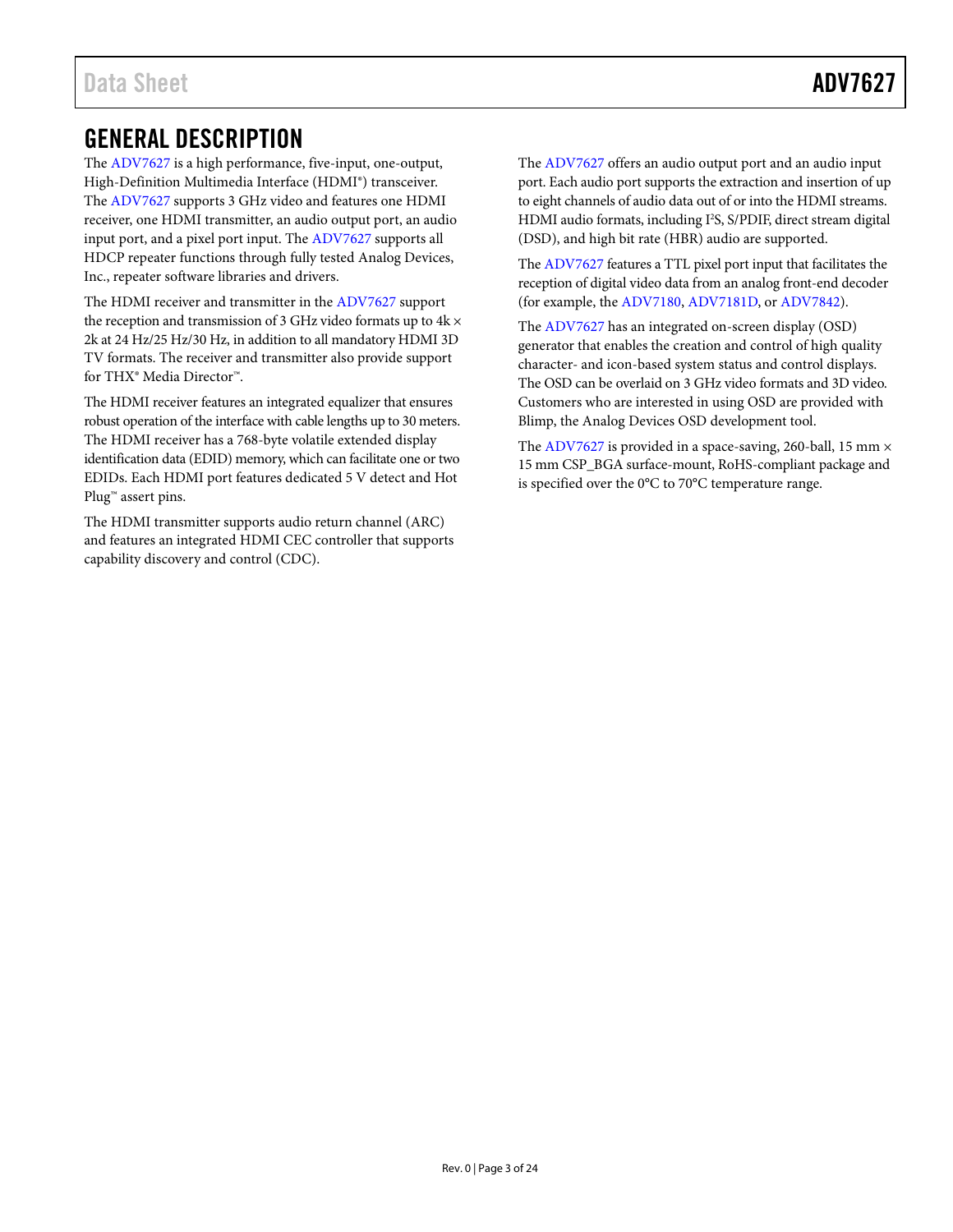# <span id="page-2-0"></span>GENERAL DESCRIPTION

The [ADV7627](http://www.analog.com/ADV7627?doc=ADV7627.pdf) is a high performance, five-input, one-output, High-Definition Multimedia Interface (HDMI®) transceiver. The [ADV7627](http://www.analog.com/ADV7627?doc=ADV7627.pdf) supports 3 GHz video and features one HDMI receiver, one HDMI transmitter, an audio output port, an audio input port, and a pixel port input. Th[e ADV7627](http://www.analog.com/ADV7627?doc=ADV7627.pdf) supports all HDCP repeater functions through fully tested Analog Devices, Inc., repeater software libraries and drivers.

The HDMI receiver and transmitter in th[e ADV7627](http://www.analog.com/ADV7627?doc=ADV7627.pdf) support the reception and transmission of 3 GHz video formats up to  $4k \times$ 2k at 24 Hz/25 Hz/30 Hz, in addition to all mandatory HDMI 3D TV formats. The receiver and transmitter also provide support for THX® Media Director™.

The HDMI receiver features an integrated equalizer that ensures robust operation of the interface with cable lengths up to 30 meters. The HDMI receiver has a 768-byte volatile extended display identification data (EDID) memory, which can facilitate one or two EDIDs. Each HDMI port features dedicated 5 V detect and Hot Plug<sup>™</sup> assert pins.

The HDMI transmitter supports audio return channel (ARC) and features an integrated HDMI CEC controller that supports capability discovery and control (CDC).

The [ADV7627](http://www.analog.com/ADV7627?doc=ADV7627.pdf) offers an audio output port and an audio input port. Each audio port supports the extraction and insertion of up to eight channels of audio data out of or into the HDMI streams. HDMI audio formats, including I<sup>2</sup>S, S/PDIF, direct stream digital (DSD), and high bit rate (HBR) audio are supported.

Th[e ADV7627](http://www.analog.com/ADV7627?doc=ADV7627.pdf) features a TTL pixel port input that facilitates the reception of digital video data from an analog front-end decoder (for example, the [ADV7180,](http://www.analog.com/ADV7180?doc=ADV7627.pdf) [ADV7181D,](http://www.analog.com/ADV7181D?doc=ADV7627.pdf) o[r ADV7842\)](http://www.analog.com/ADV7842?doc=ADV7627.pdf).

The [ADV7627](http://www.analog.com/ADV7627?doc=ADV7627.pdf) has an integrated on-screen display (OSD) generator that enables the creation and control of high quality character- and icon-based system status and control displays. The OSD can be overlaid on 3 GHz video formats and 3D video. Customers who are interested in using OSD are provided with Blimp, the Analog Devices OSD development tool.

The [ADV7627](http://www.analog.com/ADV7627?doc=ADV7627.pdf) is provided in a space-saving, 260-ball, 15 mm  $\times$ 15 mm CSP\_BGA surface-mount, RoHS-compliant package and is specified over the 0°C to 70°C temperature range.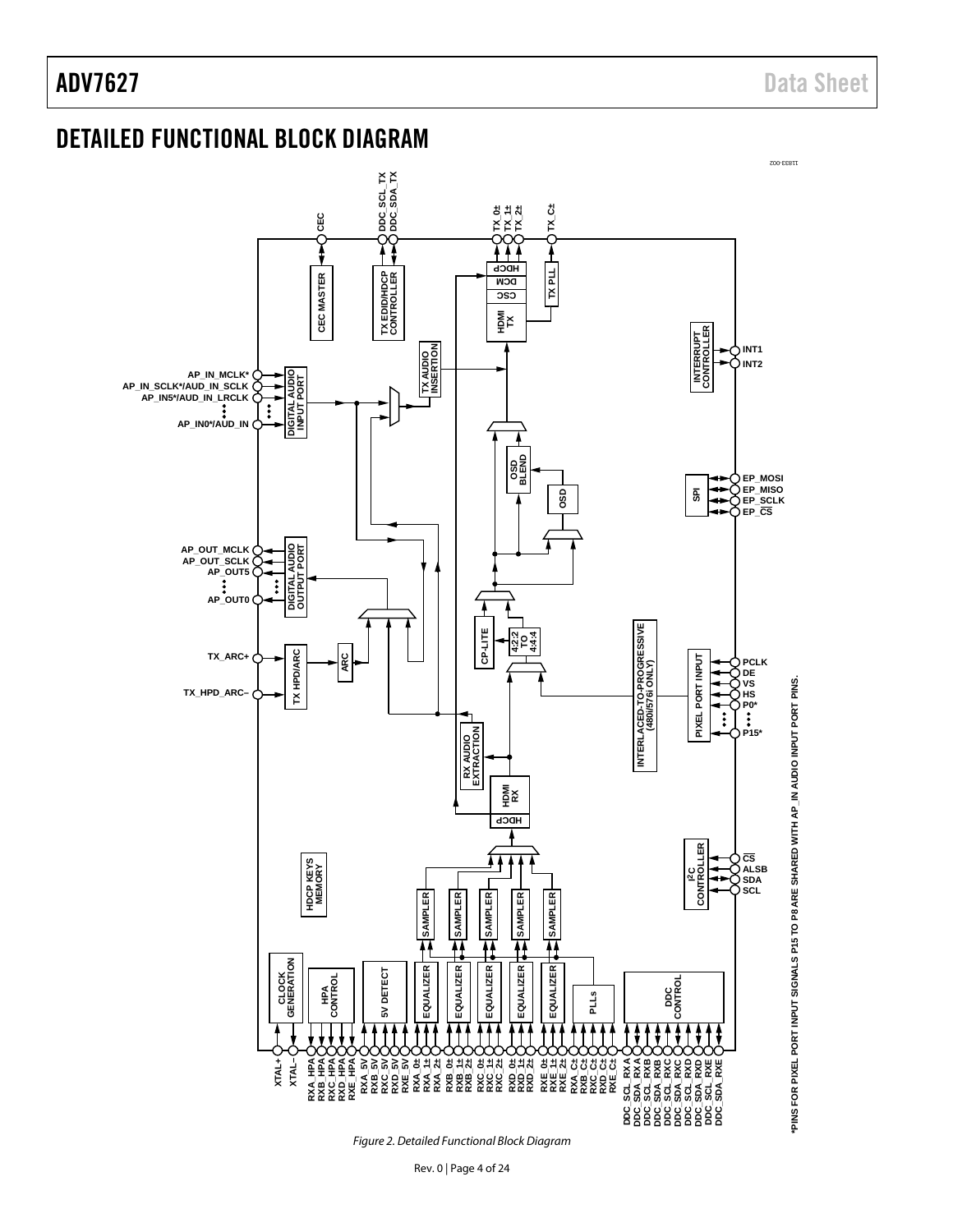# <span id="page-3-0"></span>DETAILED FUNCTIONAL BLOCK DIAGRAM

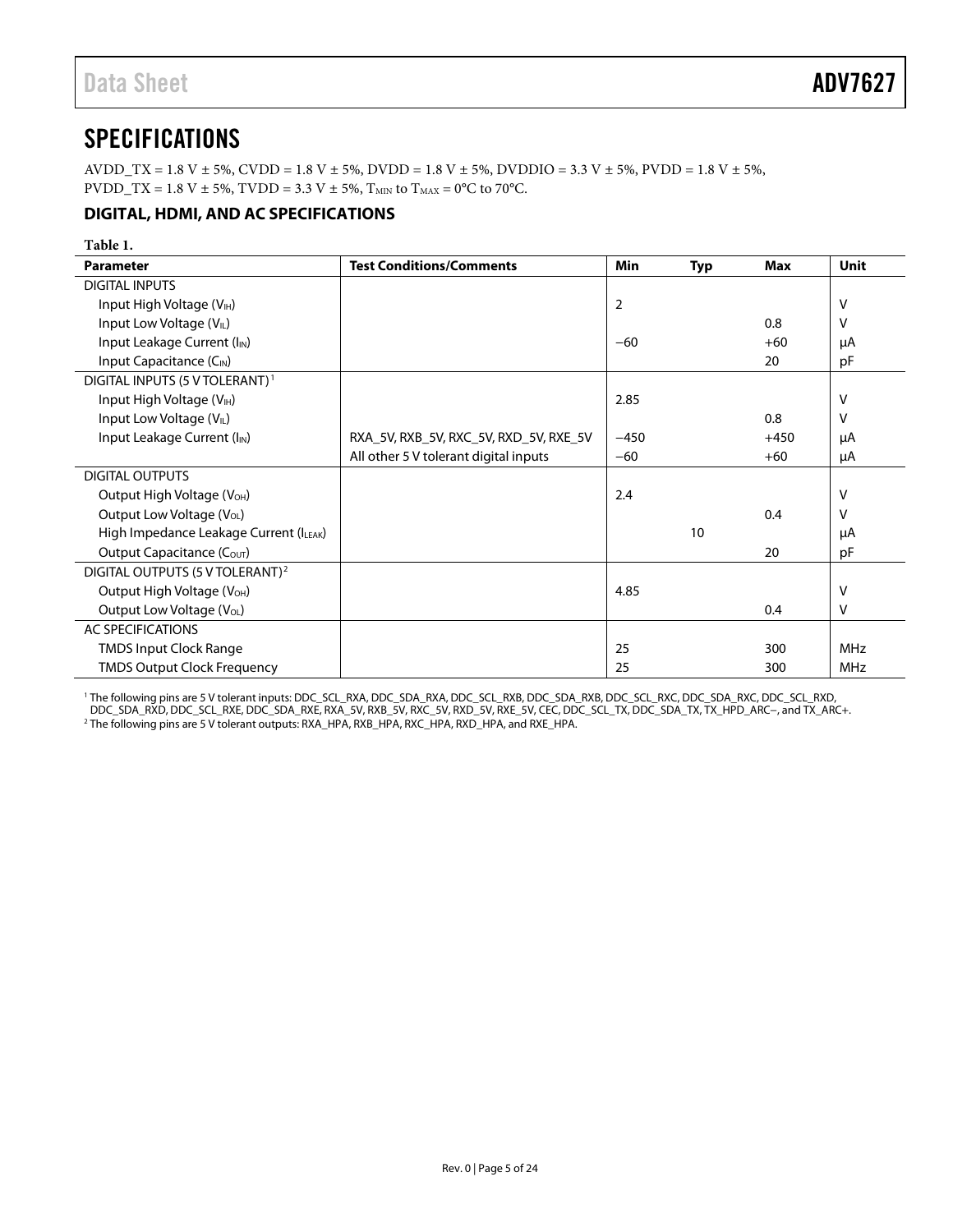# <span id="page-4-0"></span>**SPECIFICATIONS**

AVDD\_TX = 1.8 V  $\pm$  5%, CVDD = 1.8 V  $\pm$  5%, DVDD = 1.8 V  $\pm$  5%, DVDDIO = 3.3 V  $\pm$  5%, PVDD = 1.8 V  $\pm$  5%, PVDD\_TX = 1.8 V  $\pm$  5%, TVDD = 3.3 V  $\pm$  5%, T<sub>MIN</sub> to T<sub>MAX</sub> = 0°C to 70°C.

## <span id="page-4-1"></span>**DIGITAL, HDMI, AND AC SPECIFICATIONS**

| Table 1.                                    |                                        |                |     |        |             |
|---------------------------------------------|----------------------------------------|----------------|-----|--------|-------------|
| <b>Parameter</b>                            | <b>Test Conditions/Comments</b>        | Min            | Typ | Max    | <b>Unit</b> |
| <b>DIGITAL INPUTS</b>                       |                                        |                |     |        |             |
| Input High Voltage (V <sub>IH</sub> )       |                                        | $\overline{2}$ |     |        | V           |
| Input Low Voltage (VL)                      |                                        |                |     | 0.8    | V           |
| Input Leakage Current (I <sub>IN</sub> )    |                                        | $-60$          |     | $+60$  | μA          |
| Input Capacitance (C <sub>IN</sub> )        |                                        |                |     | 20     | pF          |
| DIGITAL INPUTS (5 V TOLERANT) <sup>1</sup>  |                                        |                |     |        |             |
| Input High Voltage (V <sub>IH</sub> )       |                                        | 2.85           |     |        | V           |
| Input Low Voltage (V <sub>IL</sub> )        |                                        |                |     | 0.8    | v           |
| Input Leakage Current (I <sub>IN</sub> )    | RXA_5V, RXB_5V, RXC_5V, RXD_5V, RXE_5V | $-450$         |     | $+450$ | μA          |
|                                             | All other 5 V tolerant digital inputs  | $-60$          |     | $+60$  | μA          |
| <b>DIGITAL OUTPUTS</b>                      |                                        |                |     |        |             |
| Output High Voltage (V <sub>OH</sub> )      |                                        | 2.4            |     |        | V           |
| Output Low Voltage (V <sub>OL</sub> )       |                                        |                |     | 0.4    | v           |
| High Impedance Leakage Current (ILEAK)      |                                        |                | 10  |        | μA          |
| Output Capacitance (C <sub>OUT</sub> )      |                                        |                |     | 20     | pF          |
| DIGITAL OUTPUTS (5 V TOLERANT) <sup>2</sup> |                                        |                |     |        |             |
| Output High Voltage (V <sub>OH</sub> )      |                                        | 4.85           |     |        | $\vee$      |
| Output Low Voltage (V <sub>OL</sub> )       |                                        |                |     | 0.4    | v           |
| <b>AC SPECIFICATIONS</b>                    |                                        |                |     |        |             |
| <b>TMDS Input Clock Range</b>               |                                        | 25             |     | 300    | <b>MHz</b>  |
| <b>TMDS Output Clock Frequency</b>          |                                        | 25             |     | 300    | <b>MHz</b>  |

<sup>1</sup> The following pins are 5 V tolerant inputs: DDC\_SCL\_RXA, DDC\_SDA\_RXA, DDC\_SCL\_RXB, DDC\_SDA\_RXB, DDC\_SCL\_RXC, DDC\_SDA\_RXC, DDC\_SCL\_RXD, DDC\_SDA\_RXD, DDC\_SCL\_RXE, DDC\_SDA\_RXE, RXA\_5V, RXB\_5V, RXC\_5V, RXD\_5V, RXE\_5V, CEC, DDC\_SCL\_TX, DDC\_SDA\_TX, TX\_HPD\_ARC−, and TX\_ARC+. <sup>2</sup> The following pins are 5 V tolerant outputs: RXA\_HPA, RXB\_HPA, RXC\_HPA, RXD\_HPA, and RXE\_HPA.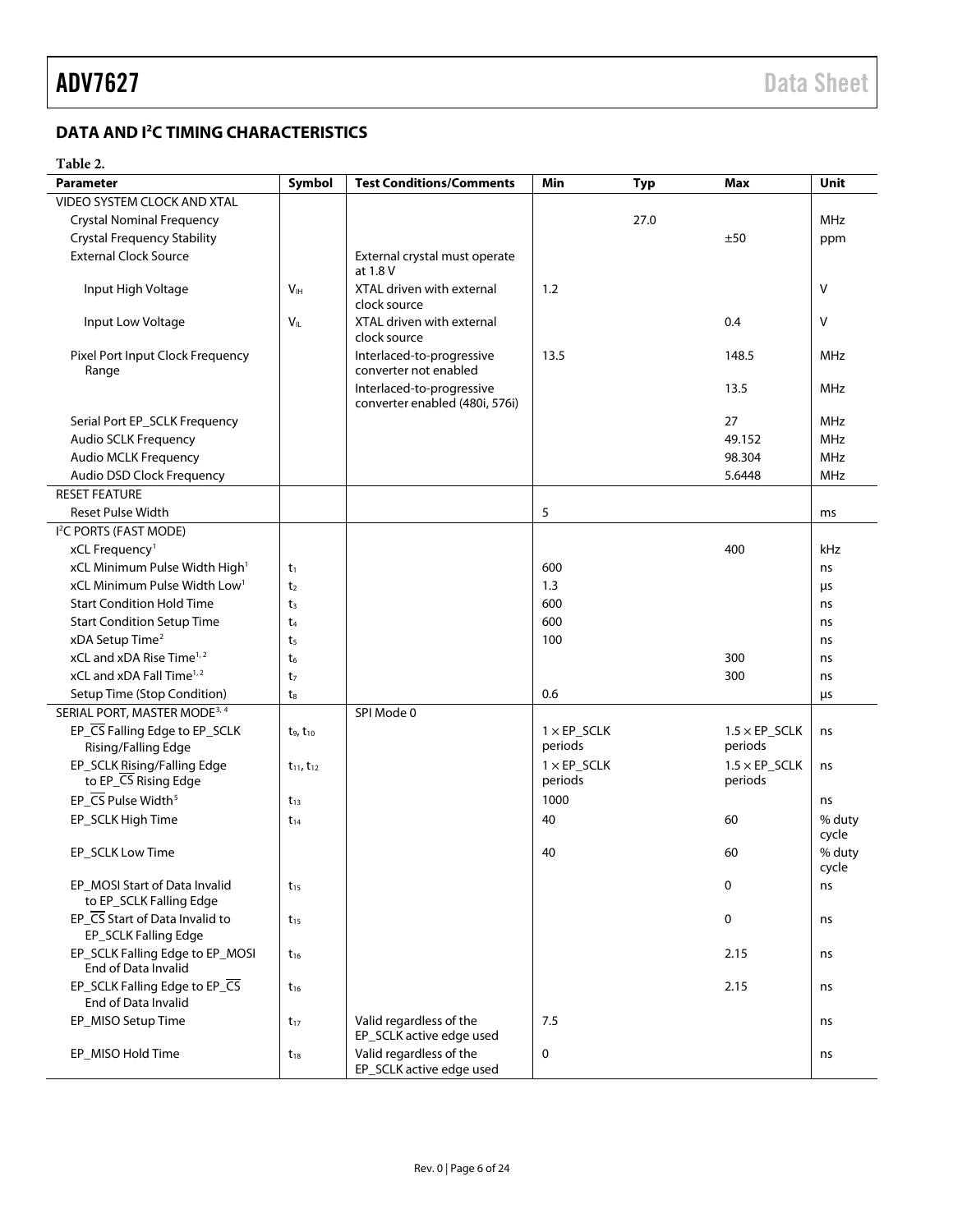# <span id="page-5-0"></span>**DATA AND I2 C TIMING CHARACTERISTICS**

## **Table 2.**

| <b>Parameter</b>                                         | Symbol              | <b>Test Conditions/Comments</b>                             | Min                | <b>Typ</b> | <b>Max</b>            | Unit            |
|----------------------------------------------------------|---------------------|-------------------------------------------------------------|--------------------|------------|-----------------------|-----------------|
| VIDEO SYSTEM CLOCK AND XTAL                              |                     |                                                             |                    |            |                       |                 |
| <b>Crystal Nominal Frequency</b>                         |                     |                                                             |                    | 27.0       |                       | MHz             |
| <b>Crystal Frequency Stability</b>                       |                     |                                                             |                    |            | ±50                   | ppm             |
| <b>External Clock Source</b>                             |                     | External crystal must operate<br>at 1.8 V                   |                    |            |                       |                 |
| Input High Voltage                                       | V <sub>IH</sub>     | XTAL driven with external<br>clock source                   | 1.2                |            |                       | $\vee$          |
| Input Low Voltage                                        | $V_{IL}$            | XTAL driven with external<br>clock source                   |                    |            | 0.4                   | V               |
| Pixel Port Input Clock Frequency<br>Range                |                     | Interlaced-to-progressive<br>converter not enabled          | 13.5               |            | 148.5                 | MHz             |
|                                                          |                     | Interlaced-to-progressive<br>converter enabled (480i, 576i) |                    |            | 13.5                  | <b>MHz</b>      |
| Serial Port EP_SCLK Frequency                            |                     |                                                             |                    |            | 27                    | <b>MHz</b>      |
| Audio SCLK Frequency                                     |                     |                                                             |                    |            | 49.152                | <b>MHz</b>      |
| Audio MCLK Frequency                                     |                     |                                                             |                    |            | 98.304                | <b>MHz</b>      |
| Audio DSD Clock Frequency                                |                     |                                                             |                    |            | 5.6448                | MHz             |
| <b>RESET FEATURE</b>                                     |                     |                                                             |                    |            |                       |                 |
| <b>Reset Pulse Width</b>                                 |                     |                                                             | 5                  |            |                       | ms              |
| I <sup>2</sup> C PORTS (FAST MODE)                       |                     |                                                             |                    |            |                       |                 |
| xCL Frequency <sup>1</sup>                               |                     |                                                             |                    |            | 400                   | kHz             |
| xCL Minimum Pulse Width High <sup>1</sup>                | $t_1$               |                                                             | 600                |            |                       | ns              |
| xCL Minimum Pulse Width Low <sup>1</sup>                 | t <sub>2</sub>      |                                                             | 1.3                |            |                       | μs              |
| <b>Start Condition Hold Time</b>                         | $t_3$               |                                                             | 600                |            |                       | ns              |
| <b>Start Condition Setup Time</b>                        | t <sub>4</sub>      |                                                             | 600                |            |                       | ns              |
| xDA Setup Time <sup>2</sup>                              | t <sub>5</sub>      |                                                             | 100                |            |                       | ns              |
| xCL and xDA Rise Time <sup>1,2</sup>                     | $t_6$               |                                                             |                    |            | 300                   | ns              |
| xCL and xDA Fall Time <sup>1,2</sup>                     | t <sub>7</sub>      |                                                             |                    |            | 300                   | ns              |
| Setup Time (Stop Condition)                              | $t_8$               |                                                             | 0.6                |            |                       | μs              |
| SERIAL PORT, MASTER MODE <sup>3, 4</sup>                 |                     | SPI Mode 0                                                  |                    |            |                       |                 |
| EP_CS Falling Edge to EP_SCLK                            | $t_9, t_{10}$       |                                                             | $1 \times EP$ SCLK |            | $1.5 \times EP$ SCLK  | ns              |
| Rising/Falling Edge                                      |                     |                                                             | periods            |            | periods               |                 |
| EP_SCLK Rising/Falling Edge                              | $t_{11}$ , $t_{12}$ |                                                             | $1 \times EP$ SCLK |            | $1.5 \times EP$ _SCLK | ns              |
| to EP_CS Rising Edge                                     |                     |                                                             | periods            |            | periods               |                 |
| EP_CS Pulse Width <sup>5</sup>                           | $t_{13}$            |                                                             | 1000               |            |                       | ns              |
| EP_SCLK High Time                                        | $t_{14}$            |                                                             | 40                 |            | 60                    | % duty<br>cycle |
| EP_SCLK Low Time                                         |                     |                                                             | 40                 |            | 60                    | % duty<br>cycle |
| EP_MOSI Start of Data Invalid<br>to EP_SCLK Falling Edge | $t_{15}$            |                                                             |                    |            | 0                     | ns              |
| EP_CS Start of Data Invalid to<br>EP_SCLK Falling Edge   | $t_{15}$            |                                                             |                    |            | 0                     | ns              |
| EP_SCLK Falling Edge to EP_MOSI<br>End of Data Invalid   | $t_{16}$            |                                                             |                    |            | 2.15                  | ns              |
| EP_SCLK Falling Edge to EP_CS<br>End of Data Invalid     | $t_{16}$            |                                                             |                    |            | 2.15                  | ns              |
| EP_MISO Setup Time                                       | $t_{17}$            | Valid regardless of the<br>EP_SCLK active edge used         | 7.5                |            |                       | ns              |
| EP_MISO Hold Time                                        | $t_{18}$            | Valid regardless of the<br>EP_SCLK active edge used         | 0                  |            |                       | ns              |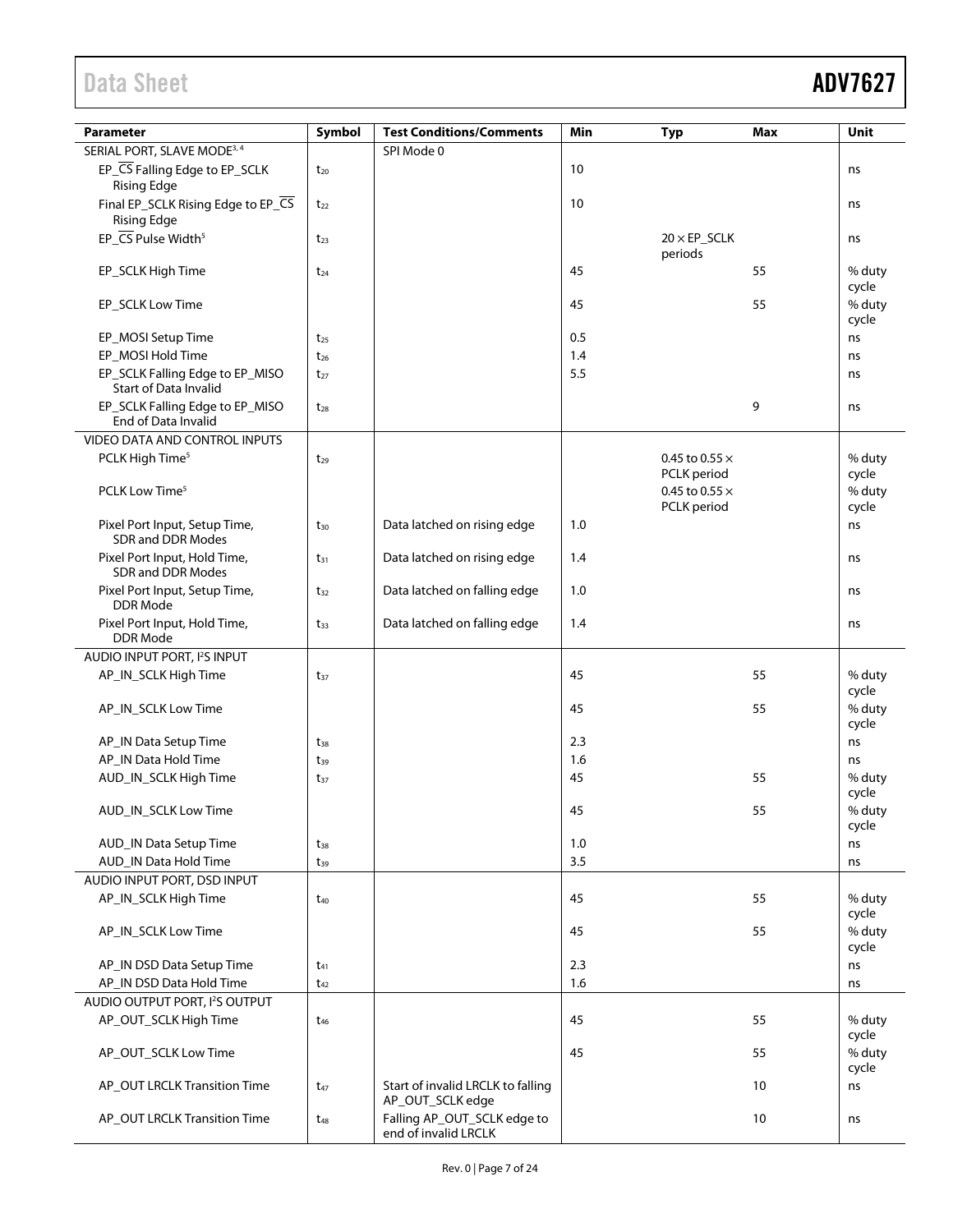| Parameter                                                | Symbol   | <b>Test Conditions/Comments</b>                       | Min | <b>Typ</b>            | Max | Unit                     |
|----------------------------------------------------------|----------|-------------------------------------------------------|-----|-----------------------|-----|--------------------------|
| SERIAL PORT, SLAVE MODE <sup>3, 4</sup>                  |          | SPI Mode 0                                            |     |                       |     |                          |
| EP_CS Falling Edge to EP_SCLK<br><b>Rising Edge</b>      | $t_{20}$ |                                                       | 10  |                       |     | ns                       |
| Final EP_SCLK Rising Edge to EP_CS<br><b>Rising Edge</b> | $t_{22}$ |                                                       | 10  |                       |     | ns                       |
| EP_CS Pulse Width <sup>5</sup>                           | $t_{23}$ |                                                       |     | $20 \times EP$ _SCLK  |     | ns                       |
| EP_SCLK High Time                                        | $t_{24}$ |                                                       | 45  | periods               | 55  | % duty                   |
| EP_SCLK Low Time                                         |          |                                                       | 45  |                       | 55  | cycle<br>% duty<br>cycle |
| EP_MOSI Setup Time                                       | $t_{25}$ |                                                       | 0.5 |                       |     | ns                       |
| EP_MOSI Hold Time                                        | $t_{26}$ |                                                       | 1.4 |                       |     | ns                       |
| EP_SCLK Falling Edge to EP_MISO<br>Start of Data Invalid | $t_{27}$ |                                                       | 5.5 |                       |     | ns                       |
| EP_SCLK Falling Edge to EP_MISO<br>End of Data Invalid   | $t_{28}$ |                                                       |     |                       | 9   | ns                       |
| VIDEO DATA AND CONTROL INPUTS                            |          |                                                       |     |                       |     |                          |
| PCLK High Time <sup>5</sup>                              | $t_{29}$ |                                                       |     | 0.45 to 0.55 $\times$ |     | % duty                   |
|                                                          |          |                                                       |     | PCLK period           |     | cycle                    |
| PCLK Low Time <sup>5</sup>                               |          |                                                       |     | 0.45 to 0.55 $\times$ |     | % duty                   |
| Pixel Port Input, Setup Time,<br>SDR and DDR Modes       | $t_{30}$ | Data latched on rising edge                           | 1.0 | PCLK period           |     | cycle<br>ns              |
| Pixel Port Input, Hold Time,<br>SDR and DDR Modes        | $t_{31}$ | Data latched on rising edge                           | 1.4 |                       |     | ns                       |
| Pixel Port Input, Setup Time,<br><b>DDR</b> Mode         | $t_{32}$ | Data latched on falling edge                          | 1.0 |                       |     | ns                       |
| Pixel Port Input, Hold Time,<br><b>DDR</b> Mode          | $t_{33}$ | Data latched on falling edge                          | 1.4 |                       |     | ns                       |
| AUDIO INPUT PORT, I <sup>2</sup> S INPUT                 |          |                                                       |     |                       |     |                          |
| AP_IN_SCLK High Time                                     | $t_{37}$ |                                                       | 45  |                       | 55  | % duty                   |
| AP_IN_SCLK Low Time                                      |          |                                                       | 45  |                       | 55  | cycle<br>% duty<br>cycle |
| AP_IN Data Setup Time                                    | $t_{38}$ |                                                       | 2.3 |                       |     | ns                       |
| AP_IN Data Hold Time                                     | $t_{39}$ |                                                       | 1.6 |                       |     | ns                       |
| AUD_IN_SCLK High Time                                    | $t_{37}$ |                                                       | 45  |                       | 55  | % duty                   |
|                                                          |          |                                                       |     |                       |     | cycle                    |
| AUD_IN_SCLK Low Time                                     |          |                                                       | 45  |                       | 55  | % duty<br>cycle          |
| AUD_IN Data Setup Time                                   | $t_{38}$ |                                                       | 1.0 |                       |     | ns                       |
| AUD_IN Data Hold Time                                    | $t_{39}$ |                                                       | 3.5 |                       |     | ns                       |
| AUDIO INPUT PORT, DSD INPUT                              |          |                                                       |     |                       |     |                          |
| AP_IN_SCLK High Time                                     | $t_{40}$ |                                                       | 45  |                       | 55  | % duty<br>cycle          |
| AP_IN_SCLK Low Time                                      |          |                                                       | 45  |                       | 55  | % duty<br>cycle          |
| AP_IN DSD Data Setup Time                                | $t_{41}$ |                                                       | 2.3 |                       |     | ns                       |
| AP_IN DSD Data Hold Time                                 | $t_{42}$ |                                                       | 1.6 |                       |     | ns                       |
| AUDIO OUTPUT PORT, I <sup>2</sup> S OUTPUT               |          |                                                       |     |                       |     |                          |
| AP_OUT_SCLK High Time                                    | $t_{46}$ |                                                       | 45  |                       | 55  | % duty<br>cycle          |
| AP_OUT_SCLK Low Time                                     |          |                                                       | 45  |                       | 55  | % duty<br>cycle          |
| AP_OUT LRCLK Transition Time                             | $t_{47}$ | Start of invalid LRCLK to falling<br>AP_OUT_SCLK edge |     |                       | 10  | ns                       |
| AP_OUT LRCLK Transition Time                             | $t_{48}$ | Falling AP_OUT_SCLK edge to<br>end of invalid LRCLK   |     |                       | 10  | ns                       |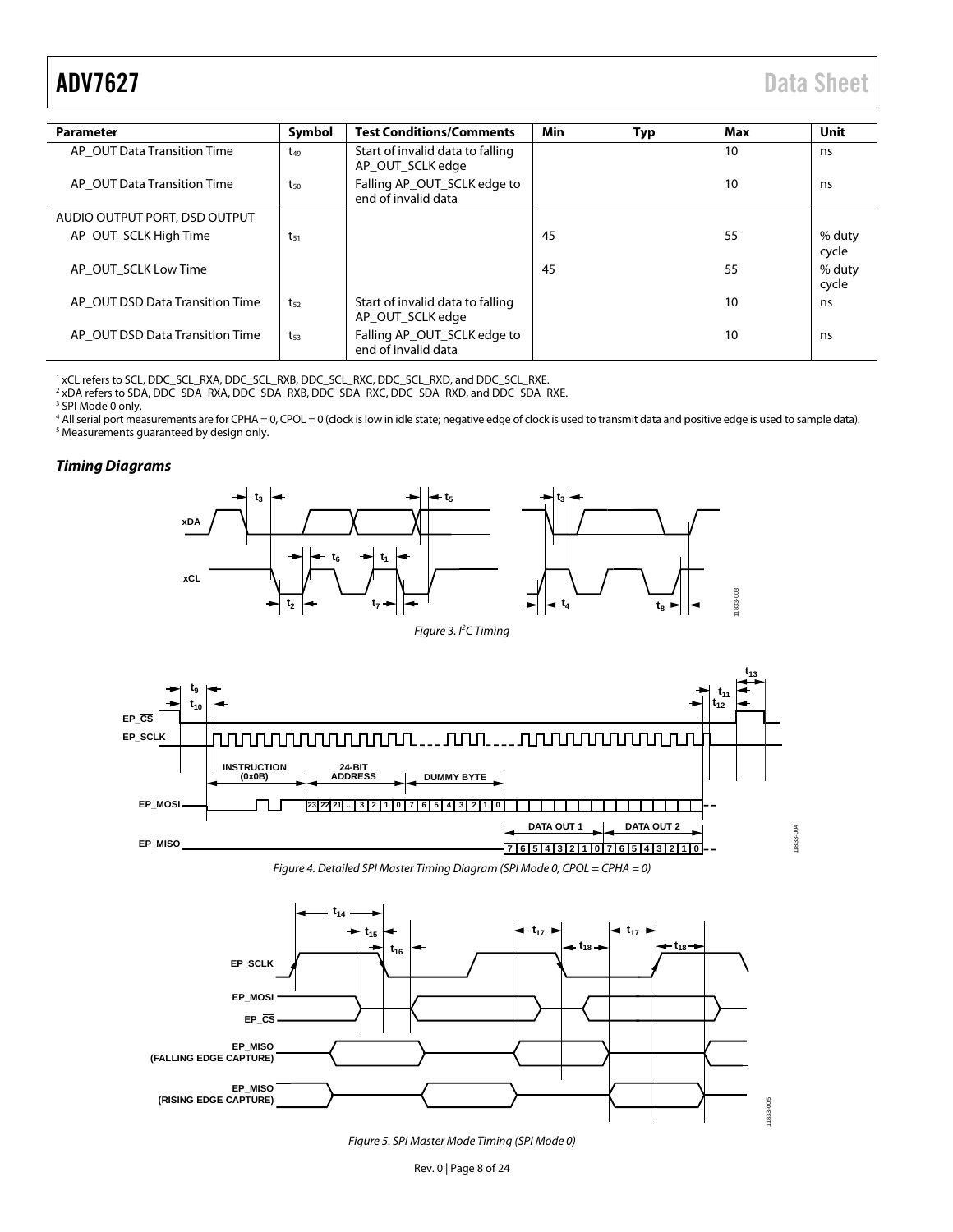<span id="page-7-0"></span>

| <b>Parameter</b>                | Symbol   | <b>Test Conditions/Comments</b>                      | Min | Typ | Max | Unit            |
|---------------------------------|----------|------------------------------------------------------|-----|-----|-----|-----------------|
| AP_OUT Data Transition Time     | $t_{49}$ | Start of invalid data to falling<br>AP OUT SCLK edge |     |     | 10  | ns              |
| AP OUT Data Transition Time     | $t_{50}$ | Falling AP_OUT_SCLK edge to<br>end of invalid data   |     |     | 10  | ns              |
| AUDIO OUTPUT PORT, DSD OUTPUT   |          |                                                      |     |     |     |                 |
| AP OUT SCLK High Time           | $t_{51}$ |                                                      | 45  |     | 55  | % duty<br>cycle |
| AP OUT SCLK Low Time            |          |                                                      | 45  |     | 55  | % duty<br>cycle |
| AP OUT DSD Data Transition Time | $t_{52}$ | Start of invalid data to falling<br>AP_OUT_SCLK edge |     |     | 10  | ns              |
| AP OUT DSD Data Transition Time | $t_{53}$ | Falling AP_OUT_SCLK edge to<br>end of invalid data   |     |     | 10  | ns              |

<sup>1</sup> xCL refers to SCL, DDC\_SCL\_RXA, DDC\_SCL\_RXB, DDC\_SCL\_RXC, DDC\_SCL\_RXD, and DDC\_SCL\_RXE.

<sup>2</sup> xDA refers to SDA, DDC\_SDA\_RXA, DDC\_SDA\_RXB, DDC\_SDA\_RXC, DDC\_SDA\_RXD, and DDC\_SDA\_RXE.

<sup>3</sup> SPI Mode 0 only.

<sup>4</sup> All serial port measurements are for CPHA = 0, CPOL = 0 (clock is low in idle state; negative edge of clock is used to transmit data and positive edge is used to sample data). <sup>5</sup> Measurements guaranteed by design only.

### *Timing Diagrams*



*Figure 3. I2 C Timing*



*Figure 4. Detailed SPI Master Timing Diagram (SPI Mode 0, CPOL = CPHA = 0)*



*Figure 5. SPI Master Mode Timing (SPI Mode 0)*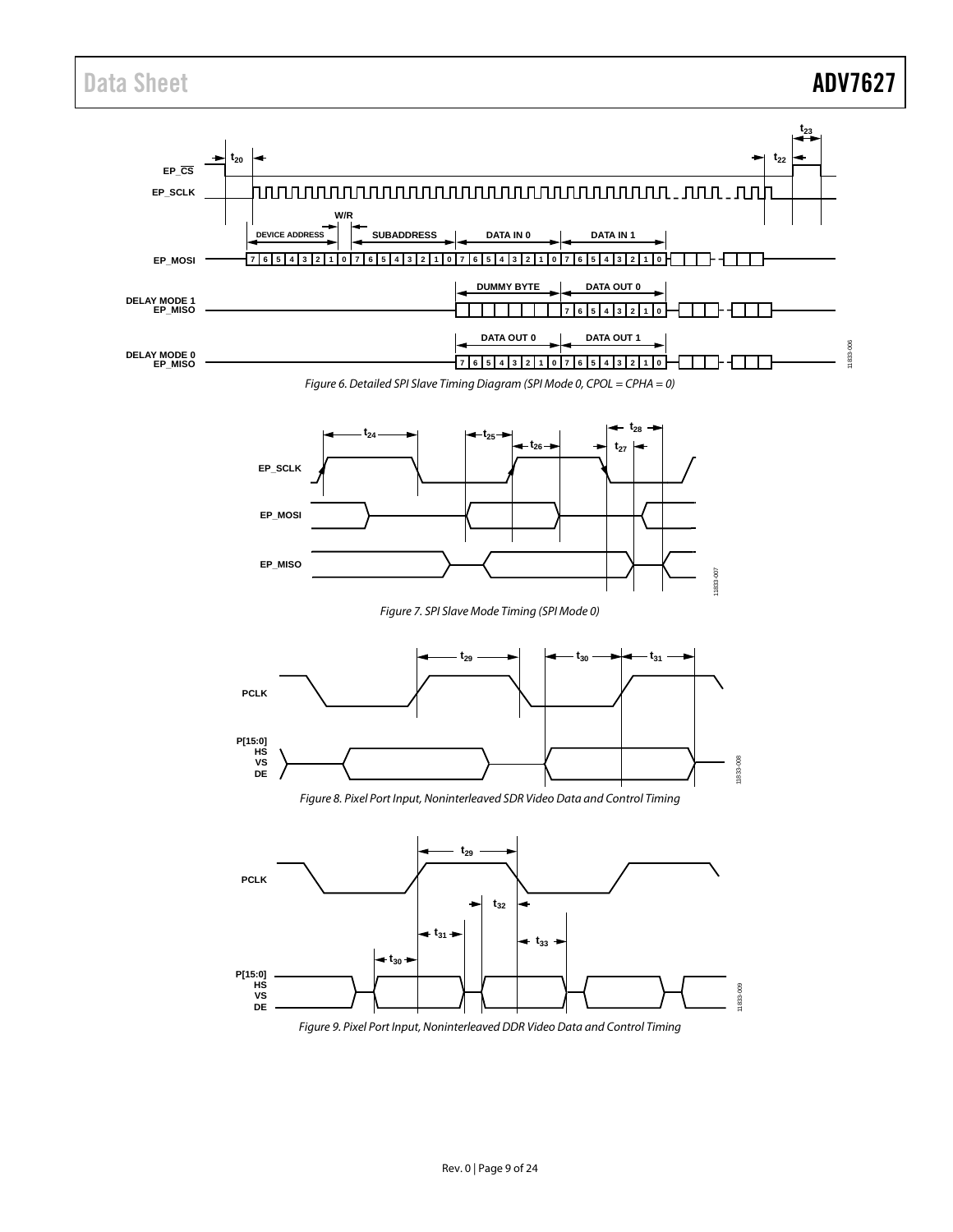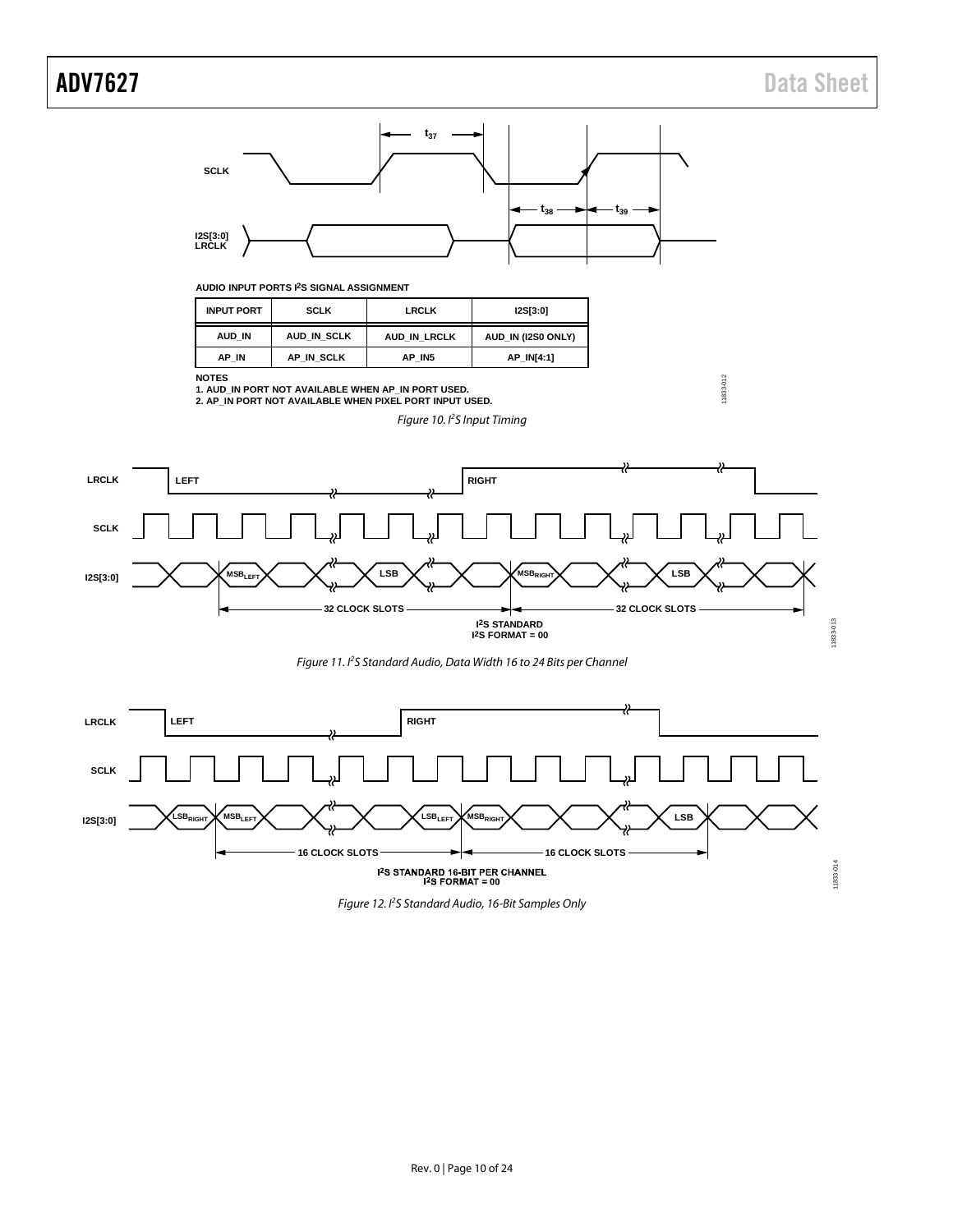# ADV7627 Data Sheet

11833-012

11833-012



### **AUDIO INPUT PORTS I2S SIGNAL ASSIGNMENT**

| <b>INPUT PORT</b> | <b>SCLK</b> | <b>I2S[3:0]</b>    |            |
|-------------------|-------------|--------------------|------------|
| AUD IN            | AUD IN SCLK | AUD IN (I2S0 ONLY) |            |
| AP IN             | AP IN SCLK  | AP IN5             | AP IN[4:1] |

**NOTES**

**1. AUD\_IN PORT NOT AVAILABLE WHEN AP\_IN PORT USED. 2. AP\_IN PORT NOT AVAILABLE WHEN PIXEL PORT INPUT USED.**

*Figure 10. I2 S Input Timing*







*Figure 12. I 2 S Standard Audio, 16-Bit Samples Only*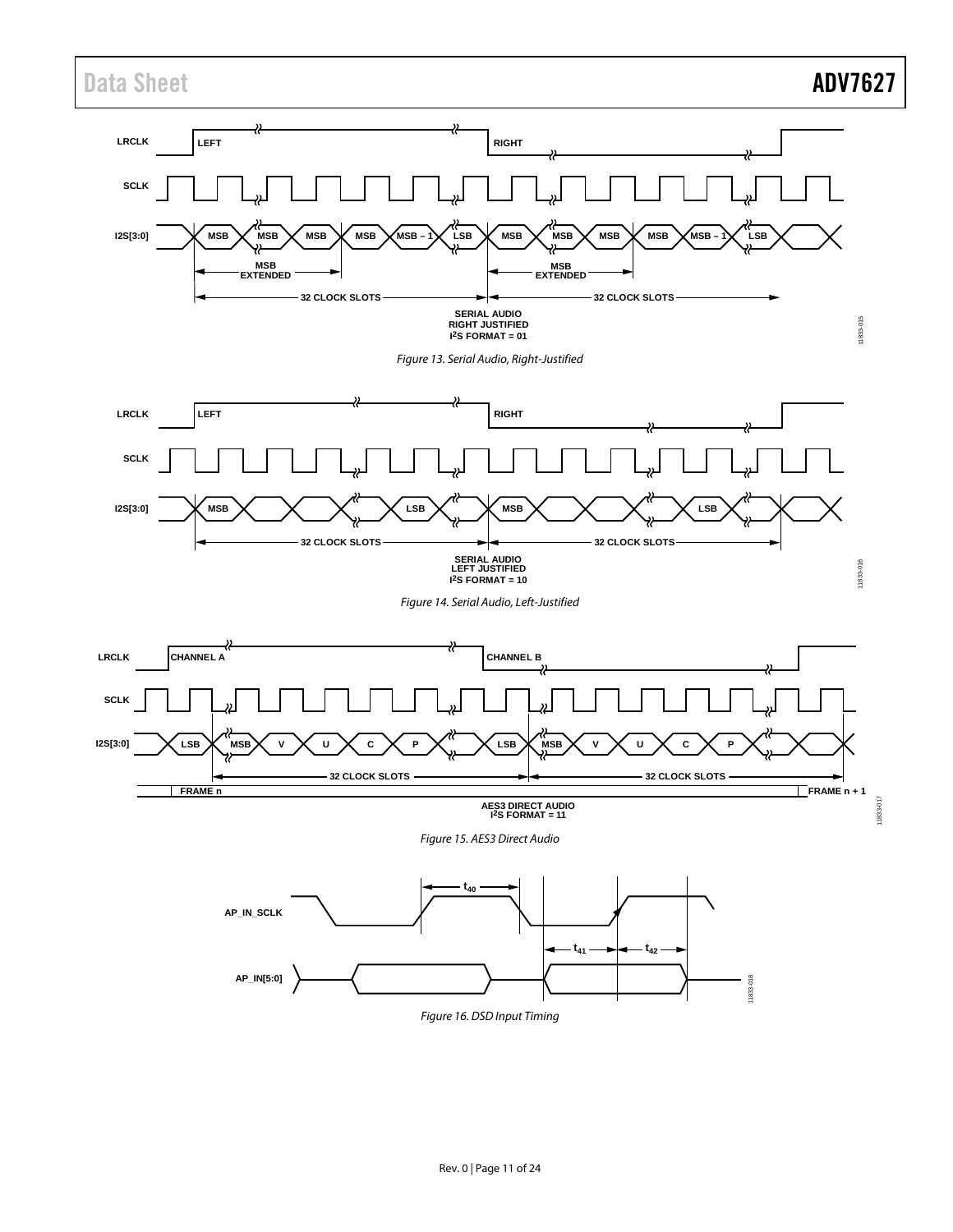

*Figure 16. DSD Input Timing*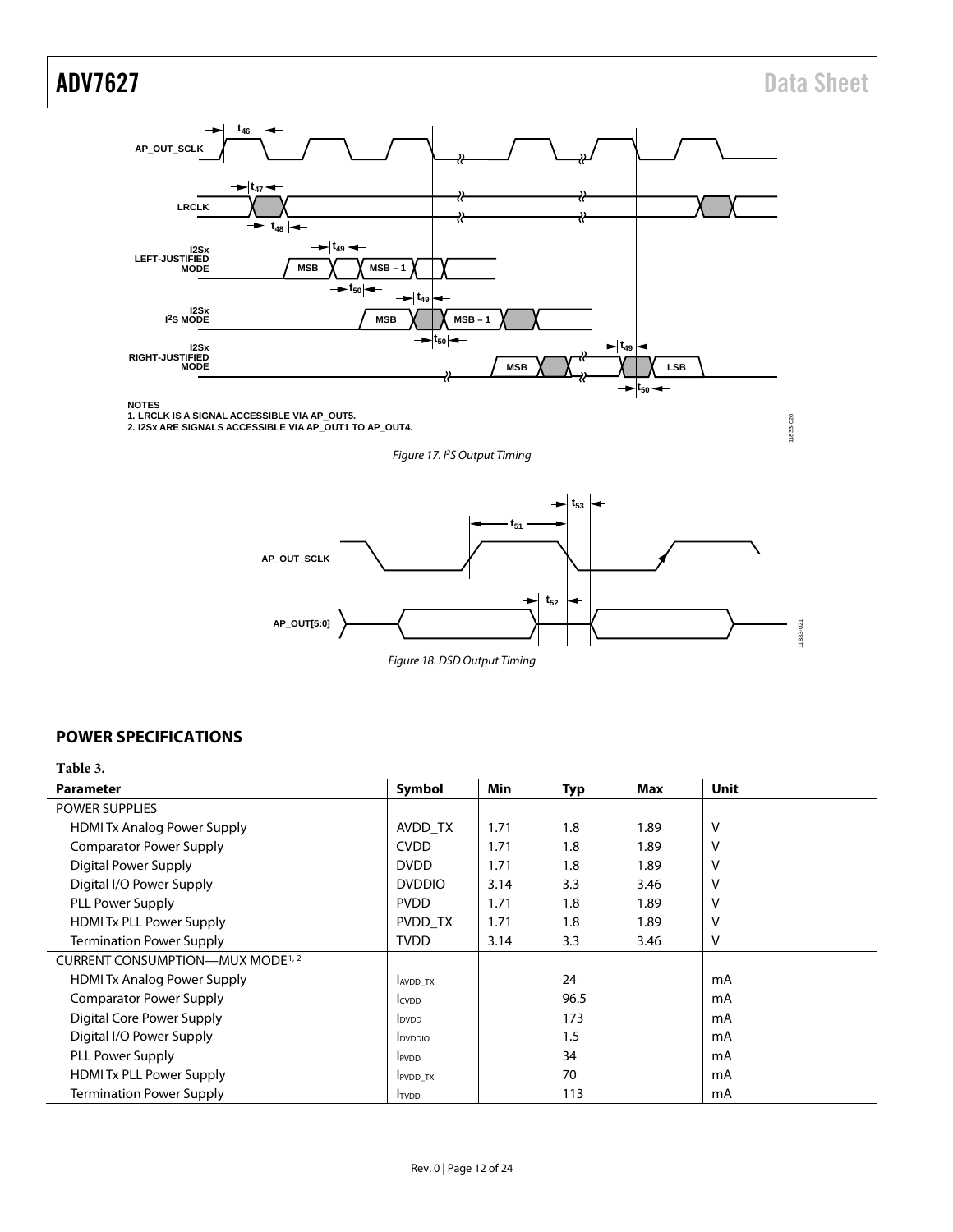11833-020

11833-020



**NOTES 1. LRCLK IS A SIGNAL ACCESSIBLE VIA AP\_OUT5. 2. I2Sx ARE SIGNALS ACCESSIBLE VIA AP\_OUT1 TO AP\_OUT4.**

*Figure 17. I2 S Output Timing*



## <span id="page-11-0"></span>**POWER SPECIFICATIONS**

**Table 3.** 

| <b>Parameter</b>                             | Symbol                   | Min  | <b>Typ</b> | Max  | <b>Unit</b> |
|----------------------------------------------|--------------------------|------|------------|------|-------------|
| <b>POWER SUPPLIES</b>                        |                          |      |            |      |             |
| <b>HDMI Tx Analog Power Supply</b>           | AVDD TX                  | 1.71 | 1.8        | 1.89 | v           |
| <b>Comparator Power Supply</b>               | <b>CVDD</b>              | 1.71 | 1.8        | 1.89 | V           |
| Digital Power Supply                         | <b>DVDD</b>              | 1.71 | 1.8        | 1.89 | V           |
| Digital I/O Power Supply                     | <b>DVDDIO</b>            | 3.14 | 3.3        | 3.46 | V           |
| PLL Power Supply                             | <b>PVDD</b>              | 1.71 | 1.8        | 1.89 | v           |
| <b>HDMI Tx PLL Power Supply</b>              | PVDD TX                  | 1.71 | 1.8        | 1.89 | ٧           |
| <b>Termination Power Supply</b>              | <b>TVDD</b>              | 3.14 | 3.3        | 3.46 | v           |
| CURRENT CONSUMPTION—MUX MODE <sup>1, 2</sup> |                          |      |            |      |             |
| <b>HDMI Tx Analog Power Supply</b>           | AVDD_TX                  |      | 24         |      | mA          |
| <b>Comparator Power Supply</b>               | <b>I</b> CVDD            |      | 96.5       |      | mA          |
| Digital Core Power Supply                    | <b>I</b> <sub>DVDD</sub> |      | 173        |      | mA          |
| Digital I/O Power Supply                     | <b>I</b> DVDDIO          |      | 1.5        |      | mA          |
| PLL Power Supply                             | <b>IPVDD</b>             |      | 34         |      | mA          |
| <b>HDMI Tx PLL Power Supply</b>              | PVDD_TX                  |      | 70         |      | mA          |
| <b>Termination Power Supply</b>              | <b>TVDD</b>              |      | 113        |      | mA          |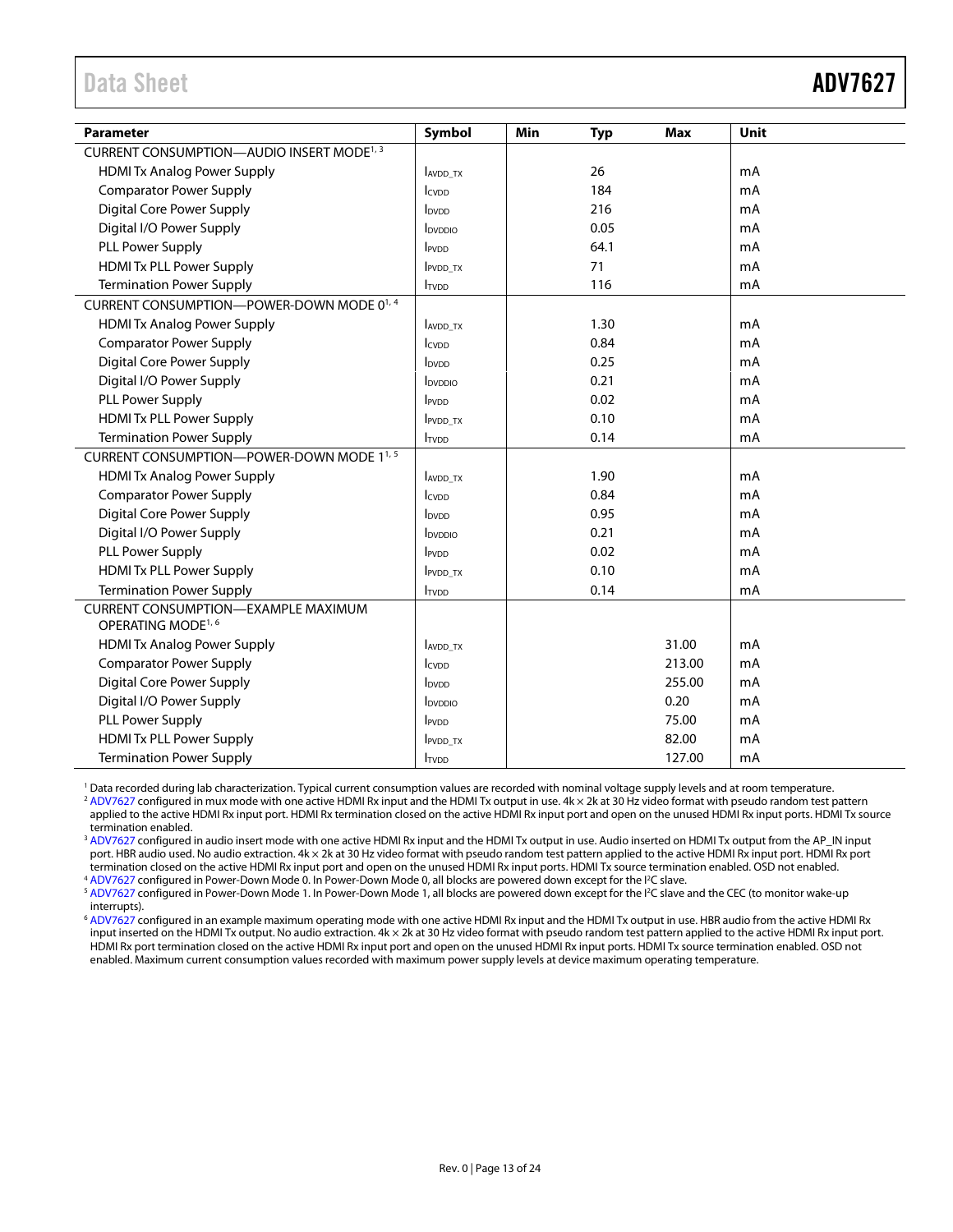<span id="page-12-0"></span>

| <b>Parameter</b>                                                             | Symbol                              | Min | <b>Typ</b> | <b>Max</b> | Unit |
|------------------------------------------------------------------------------|-------------------------------------|-----|------------|------------|------|
| CURRENT CONSUMPTION—AUDIO INSERT MODE <sup>1, 3</sup>                        |                                     |     |            |            |      |
| <b>HDMI Tx Analog Power Supply</b>                                           | <b>AVDD TX</b>                      |     | 26         |            | mA   |
| <b>Comparator Power Supply</b>                                               | <b>I</b> CVDD                       |     | 184        |            | mA   |
| <b>Digital Core Power Supply</b>                                             | <b>I</b> <sub>DVDD</sub>            |     | 216        |            | mA   |
| Digital I/O Power Supply                                                     | lpyppio                             |     | 0.05       |            | mA   |
| PLL Power Supply                                                             | <b>PVDD</b>                         |     | 64.1       |            | mA   |
| <b>HDMI Tx PLL Power Supply</b>                                              | <b>IPVDD TX</b>                     |     | 71         |            | mA   |
| <b>Termination Power Supply</b>                                              | <b>TVDD</b>                         |     | 116        |            | mA   |
| CURRENT CONSUMPTION-POWER-DOWN MODE 01, 4                                    |                                     |     |            |            |      |
| <b>HDMI Tx Analog Power Supply</b>                                           | <b>AVDD TX</b>                      |     | 1.30       |            | mA   |
| <b>Comparator Power Supply</b>                                               | <b>I</b> CVDD                       |     | 0.84       |            | mA   |
| <b>Digital Core Power Supply</b>                                             | <b>I</b> <sub>DVDD</sub>            |     | 0.25       |            | mA   |
| Digital I/O Power Supply                                                     | lpyppio                             |     | 0.21       |            | mA   |
| PLL Power Supply                                                             | PVDD                                |     | 0.02       |            | mA   |
| <b>HDMI Tx PLL Power Supply</b>                                              | <b>IPVDD TX</b>                     |     | 0.10       |            | mA   |
| <b>Termination Power Supply</b>                                              | <b>ITVDD</b>                        |     | 0.14       |            | mA   |
| CURRENT CONSUMPTION-POWER-DOWN MODE 1 <sup>1, 5</sup>                        |                                     |     |            |            |      |
| <b>HDMI Tx Analog Power Supply</b>                                           | <b>AVDD TX</b>                      |     | 1.90       |            | mA   |
| <b>Comparator Power Supply</b>                                               | ICVDD                               |     | 0.84       |            | mA   |
| <b>Digital Core Power Supply</b>                                             | <b>I</b> <sub>DVDD</sub>            |     | 0.95       |            | mA   |
| Digital I/O Power Supply                                                     | <b>I</b> DVDDIO                     |     | 0.21       |            | mA   |
| PLL Power Supply                                                             | <b>IPVDD</b>                        |     | 0.02       |            | mA   |
| <b>HDMI Tx PLL Power Supply</b>                                              | IPVDD_TX                            |     | 0.10       |            | mA   |
| <b>Termination Power Supply</b>                                              | <b>ITVDD</b>                        |     | 0.14       |            | mA   |
| <b>CURRENT CONSUMPTION-EXAMPLE MAXIMUM</b><br>OPERATING MODE <sup>1, 6</sup> |                                     |     |            |            |      |
| <b>HDMI Tx Analog Power Supply</b>                                           | AVDD TX                             |     |            | 31.00      | mA   |
| <b>Comparator Power Supply</b>                                               | <i>c</i> <sub>v</sub> <sub>DD</sub> |     |            | 213.00     | mA   |
| <b>Digital Core Power Supply</b>                                             | <b>L</b> <sub>DVDD</sub>            |     |            | 255.00     | mA   |
| Digital I/O Power Supply                                                     | <b>L</b> <sub>DVDDIO</sub>          |     |            | 0.20       | mA   |
| PLL Power Supply                                                             | <b>IPVDD</b>                        |     |            | 75.00      | mA   |
| <b>HDMI Tx PLL Power Supply</b>                                              | <b>IPVDD TX</b>                     |     |            | 82.00      | mA   |
| <b>Termination Power Supply</b>                                              | <b>ITVDD</b>                        |     |            | 127.00     | mA   |

<sup>1</sup> Data recorded during lab characterization. Typical current consumption values are recorded with nominal voltage supply levels and at room temperature.

<sup>2</sup> [ADV7627](http://www.analog.com/ADV7627?doc=ADV7627.pdf) configured in mux mode with one active HDMI Rx input and the HDMI Tx output in use. 4k × 2k at 30 Hz video format with pseudo random test pattern applied to the active HDMI Rx input port. HDMI Rx termination closed on the active HDMI Rx input port and open on the unused HDMI Rx input ports. HDMI Tx source termination enabled.

<sup>3</sup> [ADV7627](http://www.analog.com/ADV7627?doc=ADV7627.pdf) configured in audio insert mode with one active HDMI Rx input and the HDMI Tx output in use. Audio inserted on HDMI Tx output from the AP\_IN input port. HBR audio used. No audio extraction. 4k × 2k at 30 Hz video format with pseudo random test pattern applied to the active HDMI Rx input port. HDMI Rx port termination closed on the active HDMI Rx input port and open on the unused HDMI Rx input ports. HDMI Tx source termination enabled. OSD not enabled.

<sup>4</sup> [ADV7627](http://www.analog.com/ADV7627?doc=ADV7627.pdf) configured in Power-Down Mode 0. In Power-Down Mode 0, all blocks are powered down except for the I<sup>2</sup>C slave.

<sup>5</sup> [ADV7627](http://www.analog.com/ADV7627?doc=ADV7627.pdf) configured in Power-Down Mode 1. In Power-Down Mode 1, all blocks are powered down except for the I<sup>2</sup>C slave and the CEC (to monitor wake-up interrupts).

<sup>6</sup> [ADV7627](http://www.analog.com/ADV7627?doc=ADV7627.pdf) configured in an example maximum operating mode with one active HDMI Rx input and the HDMI Tx output in use. HBR audio from the active HDMI Rx input inserted on the HDMI Tx output. No audio extraction. 4k × 2k at 30 Hz video format with pseudo random test pattern applied to the active HDMI Rx input port. HDMI Rx port termination closed on the active HDMI Rx input port and open on the unused HDMI Rx input ports. HDMI Tx source termination enabled. OSD not enabled. Maximum current consumption values recorded with maximum power supply levels at device maximum operating temperature.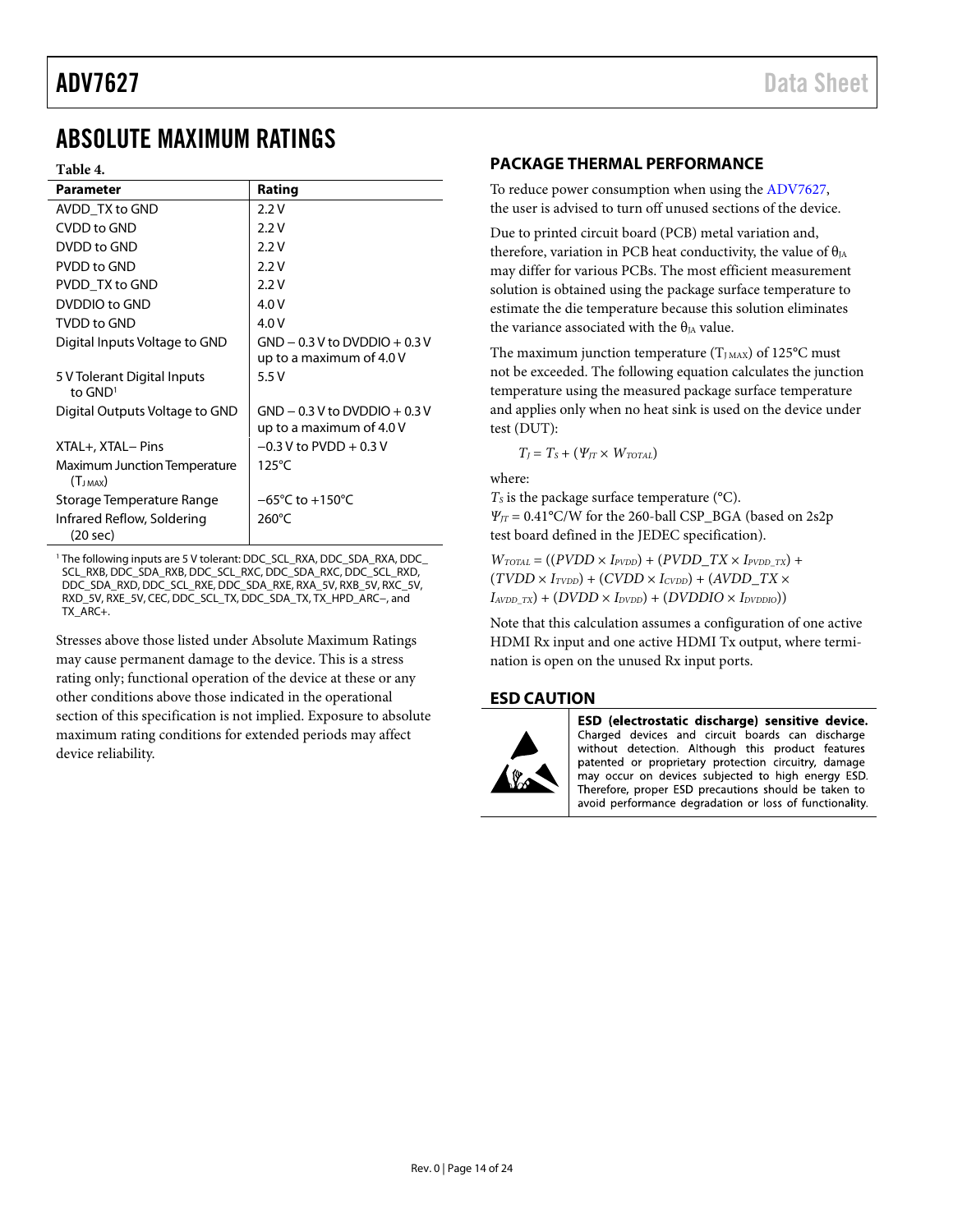# <span id="page-13-0"></span>ABSOLUTE MAXIMUM RATINGS

### **Table 4.**

| Parameter                                           | Rating                                                      |
|-----------------------------------------------------|-------------------------------------------------------------|
| AVDD TX to GND                                      | 2.2V                                                        |
| CVDD to GND                                         | 2.2V                                                        |
| DVDD to GND                                         | 2.2V                                                        |
| PVDD to GND                                         | 2.2V                                                        |
| PVDD TX to GND                                      | 2.2V                                                        |
| DVDDIO to GND                                       | 4.0 V                                                       |
| <b>TVDD to GND</b>                                  | 4.0V                                                        |
| Digital Inputs Voltage to GND                       | $GND - 0.3 V$ to DVDDIO + 0.3 V<br>up to a maximum of 4.0 V |
| 5 V Tolerant Digital Inputs<br>to $GND1$            | 5.5V                                                        |
| Digital Outputs Voltage to GND                      | $GND - 0.3 V$ to DVDDIO + 0.3 V<br>up to a maximum of 4.0 V |
| XTAL+, XTAL- Pins                                   | $-0.3$ V to PVDD $+0.3$ V                                   |
| <b>Maximum Junction Temperature</b><br>$(T_{JMAX})$ | $125^{\circ}$ C                                             |
| Storage Temperature Range                           | $-65^{\circ}$ C to $+150^{\circ}$ C                         |
| Infrared Reflow, Soldering<br>(20 sec)              | 260°C                                                       |

<sup>1</sup> The following inputs are 5 V tolerant: DDC\_SCL\_RXA, DDC\_SDA\_RXA, DDC\_ SCL\_RXB, DDC\_SDA\_RXB, DDC\_SCL\_RXC, DDC\_SDA\_RXC, DDC\_SCL\_RXD, DDC\_SDA\_RXD, DDC\_SCL\_RXE, DDC\_SDA\_RXE, RXA\_5V, RXB\_5V, RXC\_5V, RXD\_5V, RXE\_5V, CEC, DDC\_SCL\_TX, DDC\_SDA\_TX, TX\_HPD\_ARC−, and TX\_ARC+.

Stresses above those listed under Absolute Maximum Ratings may cause permanent damage to the device. This is a stress rating only; functional operation of the device at these or any other conditions above those indicated in the operational section of this specification is not implied. Exposure to absolute maximum rating conditions for extended periods may affect device reliability.

## <span id="page-13-1"></span>**PACKAGE THERMAL PERFORMANCE**

To reduce power consumption when using the [ADV7627,](http://www.analog.com/ADV7627?doc=ADV7627.pdf) the user is advised to turn off unused sections of the device.

Due to printed circuit board (PCB) metal variation and, therefore, variation in PCB heat conductivity, the value of  $\theta_{JA}$ may differ for various PCBs. The most efficient measurement solution is obtained using the package surface temperature to estimate the die temperature because this solution eliminates the variance associated with the  $\theta_{IA}$  value.

The maximum junction temperature  $(T_{JMAX})$  of 125°C must not be exceeded. The following equation calculates the junction temperature using the measured package surface temperature and applies only when no heat sink is used on the device under test (DUT):

 $T_J = T_S + (\Psi_{JT} \times W_{TOTAL})$ 

where:

 $T<sub>S</sub>$  is the package surface temperature ( $°C$ ). *ΨJT* = 0.41°C/W for the 260-ball CSP\_BGA (based on 2s2p test board defined in the JEDEC specification).

 $W_{\text{TOTAL}} = ((PVDD \times I_{\text{PVDD}}) + (PVDD\_TX \times I_{\text{PVDD\_TX}}) +$  $(TVDD \times I_{TVDD}) + (CVDD \times I_{CVDD}) + (AVDD_TX \times I_{TVDD})$  $I_{AVDD_TX}$ ) + ( $D VDD \times I_{DVDD}$ ) + ( $D VDDIO \times I_{DVDDIO}$ ))

Note that this calculation assumes a configuration of one active HDMI Rx input and one active HDMI Tx output, where termination is open on the unused Rx input ports.

### <span id="page-13-2"></span>**ESD CAUTION**



ESD (electrostatic discharge) sensitive device. Charged devices and circuit boards can discharge without detection. Although this product features patented or proprietary protection circuitry, damage may occur on devices subjected to high energy ESD. Therefore, proper ESD precautions should be taken to avoid performance degradation or loss of functionality.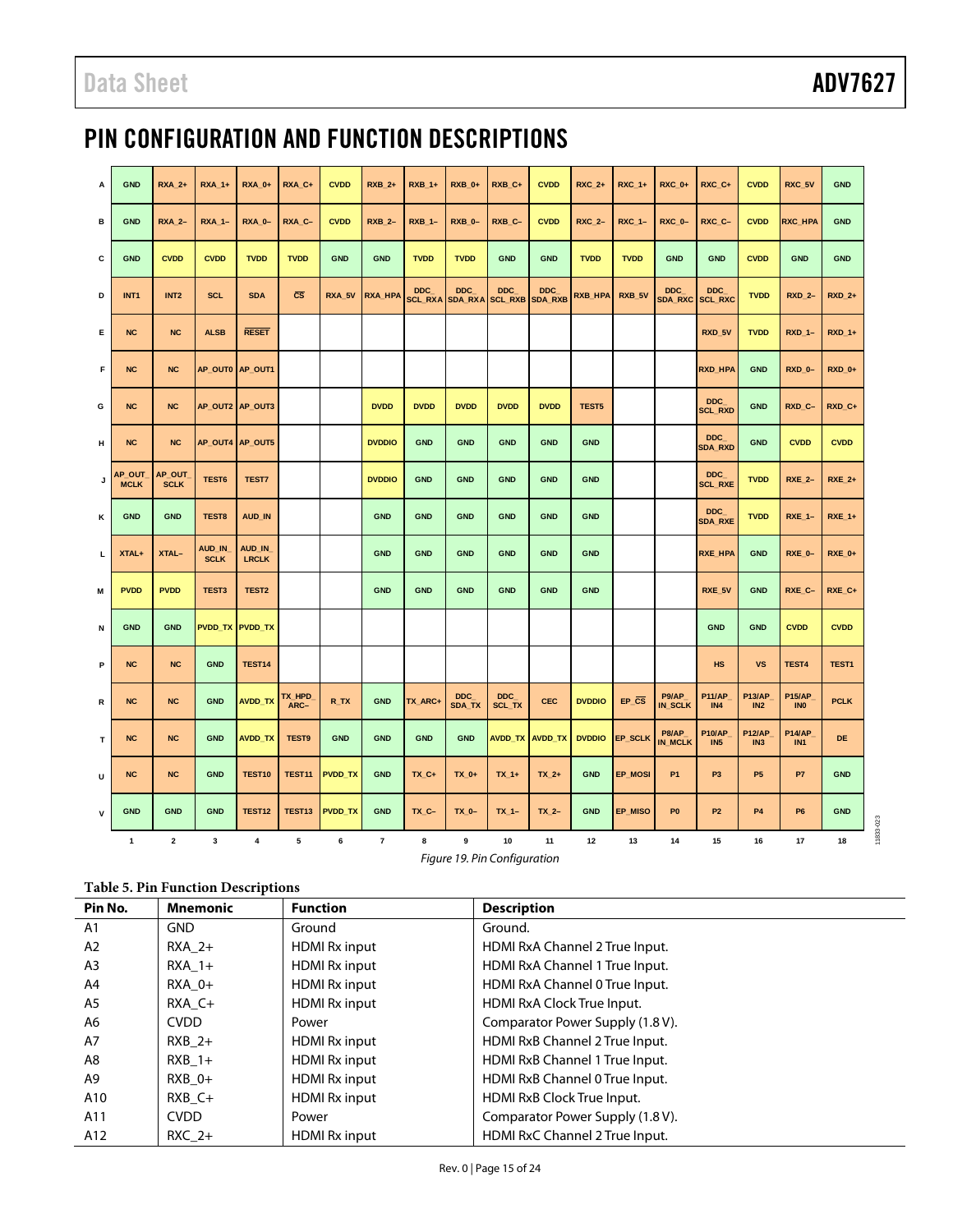# <span id="page-14-0"></span>PIN CONFIGURATION AND FUNCTION DESCRIPTIONS

| A  | <b>GND</b>            | <b>RXA_2+</b>           | <b>RXA_1+</b>         | <b>RXA_0+</b>          | RXA_C+           | <b>CVDD</b>    | <b>RXB_2+</b> | <b>RXB_1+</b> | <b>RXB_0+</b>        | RXB_C+                                        | <b>CVDD</b>     | <b>RXC_2+</b> | <b>RXC_1+</b>         | <b>RXC_0+</b>           | RXC_C+                       | <b>CVDD</b>                | RXC_5V                       | <b>GND</b>    |
|----|-----------------------|-------------------------|-----------------------|------------------------|------------------|----------------|---------------|---------------|----------------------|-----------------------------------------------|-----------------|---------------|-----------------------|-------------------------|------------------------------|----------------------------|------------------------------|---------------|
| в  | <b>GND</b>            | <b>RXA_2-</b>           | <b>RXA_1-</b>         | <b>RXA_0-</b>          | RXA_C-           | <b>CVDD</b>    | <b>RXB_2-</b> | $RXB_1$ -     | <b>RXB_0-</b>        | RXB_C-                                        | <b>CVDD</b>     | <b>RXC_2-</b> | <b>RXC_1-</b>         | <b>RXC_0-</b>           | RXC_C-                       | <b>CVDD</b>                | <b>RXC_HPA</b>               | <b>GND</b>    |
| c  | <b>GND</b>            | <b>CVDD</b>             | <b>CVDD</b>           | <b>TVDD</b>            | <b>TVDD</b>      | <b>GND</b>     | <b>GND</b>    | <b>TVDD</b>   | <b>TVDD</b>          | <b>GND</b>                                    | <b>GND</b>      | <b>TVDD</b>   | <b>TVDD</b>           | <b>GND</b>              | <b>GND</b>                   | <b>CVDD</b>                | <b>GND</b>                   | <b>GND</b>    |
| D  | INT <sub>1</sub>      | INT <sub>2</sub>        | <b>SCL</b>            | <b>SDA</b>             | $\bar{c}\bar{s}$ | RXA_5V         | RXA_HPA       | <b>DDC</b>    | <b>DDC</b>           | <b>DDC</b><br>SCL_RXA SDA_RXA SCL_RXB SDA_RXB | <b>DDC</b>      | RXB_HPA       | RXB_5V                | <b>DDC</b><br>SDA_RXC   | <b>DDC</b><br><b>SCL_RXC</b> | <b>TVDD</b>                | <b>RXD 2-</b>                | <b>RXD 2+</b> |
| Е  | <b>NC</b>             | <b>NC</b>               | <b>ALSB</b>           | <b>RESET</b>           |                  |                |               |               |                      |                                               |                 |               |                       |                         | RXD_5V                       | <b>TVDD</b>                | <b>RXD_1-</b>                | <b>RXD_1+</b> |
| F  | <b>NC</b>             | <b>NC</b>               |                       | AP_OUT0 AP_OUT1        |                  |                |               |               |                      |                                               |                 |               |                       |                         | <b>RXD HPA</b>               | <b>GND</b>                 | RXD <sub>0</sub> -           | <b>RXD 0+</b> |
| G  | <b>NC</b>             | <b>NC</b>               |                       | AP_OUT2 AP_OUT3        |                  |                | <b>DVDD</b>   | <b>DVDD</b>   | <b>DVDD</b>          | <b>DVDD</b>                                   | <b>DVDD</b>     | TEST5         |                       |                         | <b>DDC</b><br><b>SCL_RXD</b> | <b>GND</b>                 | RXD_C-                       | RXD_C+        |
| н  | <b>NC</b>             | <b>NC</b>               |                       | AP_OUT4 AP_OUT5        |                  |                | <b>DVDDIO</b> | GND           | <b>GND</b>           | <b>GND</b>                                    | <b>GND</b>      | <b>GND</b>    |                       |                         | <b>DDC</b><br><b>SDA_RXD</b> | <b>GND</b>                 | <b>CVDD</b>                  | <b>CVDD</b>   |
| J  | AP OUT<br><b>MCLK</b> | AP OUT<br><b>SCLK</b>   | TEST6                 | TEST7                  |                  |                | <b>DVDDIO</b> | <b>GND</b>    | <b>GND</b>           | <b>GND</b>                                    | <b>GND</b>      | <b>GND</b>    |                       |                         | <b>DDC</b><br><b>SCL_RXE</b> | <b>TVDD</b>                | <b>RXE_2-</b>                | <b>RXE_2+</b> |
| κ  | <b>GND</b>            | <b>GND</b>              | TEST8                 | AUD_IN                 |                  |                | <b>GND</b>    | <b>GND</b>    | <b>GND</b>           | <b>GND</b>                                    | <b>GND</b>      | <b>GND</b>    |                       |                         | DDC<br><b>SDA_RXE</b>        | <b>TVDD</b>                | <b>RXE_1-</b>                | <b>RXE_1+</b> |
| L. | XTAL+                 | XTAL-                   | AUD_IN<br><b>SCLK</b> | AUD_IN<br><b>LRCLK</b> |                  |                | <b>GND</b>    | <b>GND</b>    | <b>GND</b>           | <b>GND</b>                                    | <b>GND</b>      | <b>GND</b>    |                       |                         | <b>RXE HPA</b>               | <b>GND</b>                 | RXE 0-                       | <b>RXE 0+</b> |
| M  | <b>PVDD</b>           | <b>PVDD</b>             | TEST3                 | TEST <sub>2</sub>      |                  |                | <b>GND</b>    | <b>GND</b>    | <b>GND</b>           | <b>GND</b>                                    | <b>GND</b>      | <b>GND</b>    |                       |                         | RXE_5V                       | <b>GND</b>                 | RXE_C-                       | RXE_C+        |
| N  | <b>GND</b>            | <b>GND</b>              |                       | PVDD_TX PVDD_TX        |                  |                |               |               |                      |                                               |                 |               |                       |                         | <b>GND</b>                   | <b>GND</b>                 | <b>CVDD</b>                  | <b>CVDD</b>   |
| P  | <b>NC</b>             | <b>NC</b>               | <b>GND</b>            | <b>TEST14</b>          |                  |                |               |               |                      |                                               |                 |               |                       |                         | <b>HS</b>                    | <b>VS</b>                  | TEST4                        | TEST1         |
| R  | <b>NC</b>             | <b>NC</b>               | <b>GND</b>            | <b>AVDD_TX</b>         | TX HPD<br>ARC-   | R_TX           | <b>GND</b>    | TX_ARC+       | <b>DDC</b><br>SDA_TX | <b>DDC</b><br>SCL_TX                          | <b>CEC</b>      | <b>DVDDIO</b> | $EP_{CS}$             | P9/AP<br>IN_SCLK        | <b>P11/AP_</b><br>IN4        | <b>P13/AP</b><br>IN2       | <b>P15/AP_</b><br><b>INO</b> | <b>PCLK</b>   |
| T. | <b>NC</b>             | <b>NC</b>               | <b>GND</b>            | <b>AVDD_TX</b>         | TEST9            | <b>GND</b>     | <b>GND</b>    | <b>GND</b>    | <b>GND</b>           |                                               | AVDD_TX AVDD_TX |               | DVDDIO <b>EP_SCLK</b> | P8/AP<br><b>IN MCLK</b> | P10/AP_<br>IN5               | P12/AP_<br>IN <sub>3</sub> | P14/AP_<br>IN <sub>1</sub>   | DE            |
| U  | <b>NC</b>             | <b>NC</b>               | <b>GND</b>            | <b>TEST10</b>          | <b>TEST11</b>    | <b>PVDD_TX</b> | <b>GND</b>    | TX_C+         | $TX_0+$              | $TX_1+$                                       | $TX_2+$         | <b>GND</b>    | EP_MOSI               | <b>P1</b>               | P <sub>3</sub>               | P <sub>5</sub>             | P7                           | <b>GND</b>    |
| v  | <b>GND</b>            | <b>GND</b>              | <b>GND</b>            | <b>TEST12</b>          | TEST13           | <b>PVDD_TX</b> | <b>GND</b>    | TX_C-         | $TX_0 -$             | $TX_1$ -                                      | $TX_2-$         | <b>GND</b>    | EP_MISO               | P <sub>0</sub>          | <b>P2</b>                    | <b>P4</b>                  | P <sub>6</sub>               | <b>GND</b>    |
|    | $\mathbf{1}$          | $\overline{\mathbf{2}}$ | 3                     | 4                      | 5                | 6              | $\bf 7$       | 8             | 9                    | 10                                            | 11              | 12            | 13                    | 14                      | 15                           | 16                         | 17                           | 18            |

*Figure 19. Pin Configuration*

## **Table 5. Pin Function Descriptions**

| Pin No. | <b>Mnemonic</b> | <b>Function</b>      | <b>Description</b>               |
|---------|-----------------|----------------------|----------------------------------|
| A1      | <b>GND</b>      | Ground               | Ground.                          |
| A2      | $RXA$ 2+        | HDMI Rx input        | HDMI RxA Channel 2 True Input.   |
| A3      | $RXA$ 1+        | HDMI Rx input        | HDMI RxA Channel 1 True Input.   |
| A4      | $RXA$ 0+        | HDMI Rx input        | HDMI RxA Channel 0 True Input.   |
| A5      | RXA C+          | HDMI Rx input        | HDMI RxA Clock True Input.       |
| A6      | <b>CVDD</b>     | Power                | Comparator Power Supply (1.8 V). |
| A7      | $RXB$ 2+        | HDMI Rx input        | HDMI RxB Channel 2 True Input.   |
| A8      | $RXB$ 1+        | HDMI Rx input        | HDMI RxB Channel 1 True Input.   |
| A9      | $RXB$ 0+        | HDMI Rx input        | HDMI RxB Channel 0 True Input.   |
| A10     | $RXB$ $C+$      | <b>HDMI Rx input</b> | HDMI RxB Clock True Input.       |
| A11     | <b>CVDD</b>     | Power                | Comparator Power Supply (1.8 V). |
| A12     | $RXC2+$         | <b>HDMI Rx input</b> | HDMI RxC Channel 2 True Input.   |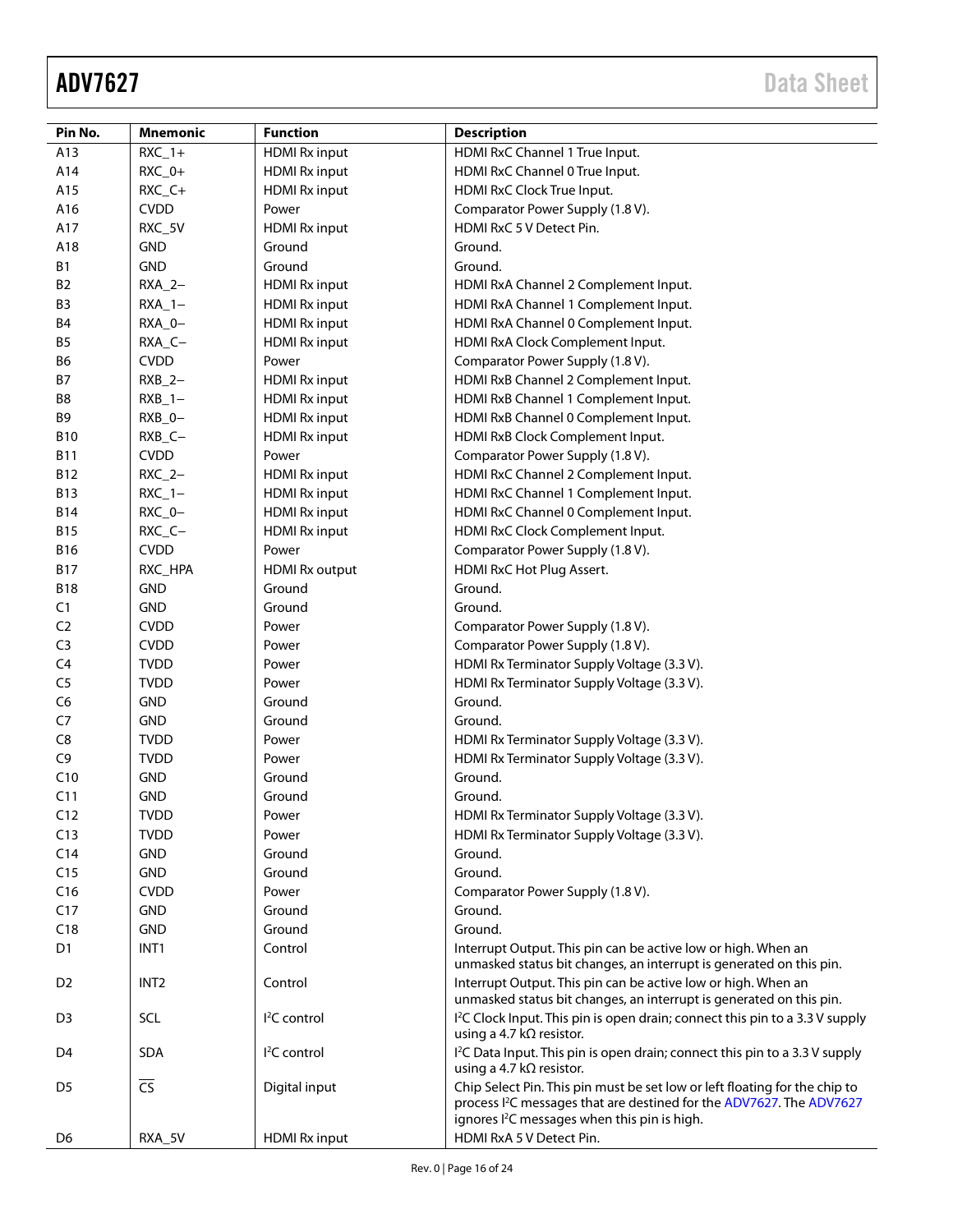| Pin No.         | <b>Mnemonic</b>        | <b>Function</b>        | <b>Description</b>                                                                                                                                                                                                         |  |
|-----------------|------------------------|------------------------|----------------------------------------------------------------------------------------------------------------------------------------------------------------------------------------------------------------------------|--|
| A13             | $RXC_1+$               | <b>HDMI Rx input</b>   | HDMI RxC Channel 1 True Input.                                                                                                                                                                                             |  |
| A14             | $RXC_0+$               | <b>HDMI Rx input</b>   | HDMI RxC Channel 0 True Input.                                                                                                                                                                                             |  |
| A15             | RXC_C+                 | <b>HDMI Rx input</b>   | HDMI RxC Clock True Input.                                                                                                                                                                                                 |  |
| A16             | <b>CVDD</b>            | Power                  | Comparator Power Supply (1.8 V).                                                                                                                                                                                           |  |
| A17             | RXC_5V                 | <b>HDMI Rx input</b>   | HDMI RxC 5 V Detect Pin.                                                                                                                                                                                                   |  |
| A18             | <b>GND</b>             | Ground                 | Ground.                                                                                                                                                                                                                    |  |
| B1              | <b>GND</b>             | Ground                 | Ground.                                                                                                                                                                                                                    |  |
| <b>B2</b>       | $RXA_2-$               | <b>HDMI Rx input</b>   | HDMI RxA Channel 2 Complement Input.                                                                                                                                                                                       |  |
| B3              | $RXA_1-$               | <b>HDMI Rx input</b>   | HDMI RxA Channel 1 Complement Input.                                                                                                                                                                                       |  |
| <b>B4</b>       | RXA_0-                 | <b>HDMI Rx input</b>   | HDMI RxA Channel 0 Complement Input.                                                                                                                                                                                       |  |
| <b>B5</b>       | RXA_C-                 | <b>HDMI Rx input</b>   | HDMI RxA Clock Complement Input.                                                                                                                                                                                           |  |
| B <sub>6</sub>  | <b>CVDD</b>            | Power                  | Comparator Power Supply (1.8 V).                                                                                                                                                                                           |  |
| <b>B7</b>       | $RXB_2-$               | <b>HDMI Rx input</b>   | HDMI RxB Channel 2 Complement Input.                                                                                                                                                                                       |  |
| B8              | $RXB_1 -$              | <b>HDMI Rx input</b>   | HDMI RxB Channel 1 Complement Input.                                                                                                                                                                                       |  |
| Β9              | $RXB_0-$               | <b>HDMI Rx input</b>   | HDMI RxB Channel 0 Complement Input.                                                                                                                                                                                       |  |
| <b>B10</b>      | RXB_C-                 | <b>HDMI Rx input</b>   | HDMI RxB Clock Complement Input.                                                                                                                                                                                           |  |
| <b>B11</b>      | <b>CVDD</b>            | Power                  | Comparator Power Supply (1.8 V).                                                                                                                                                                                           |  |
| <b>B12</b>      | $RXC_2-$               | <b>HDMI Rx input</b>   | HDMI RxC Channel 2 Complement Input.                                                                                                                                                                                       |  |
| <b>B13</b>      | $RXC_1 -$              | <b>HDMI Rx input</b>   | HDMI RxC Channel 1 Complement Input.                                                                                                                                                                                       |  |
| <b>B14</b>      | $RXC_0 -$              | <b>HDMI Rx input</b>   | HDMI RxC Channel 0 Complement Input.                                                                                                                                                                                       |  |
| <b>B15</b>      | RXC_C-                 | <b>HDMI Rx input</b>   | HDMI RxC Clock Complement Input.                                                                                                                                                                                           |  |
| <b>B16</b>      | <b>CVDD</b>            | Power                  | Comparator Power Supply (1.8 V).                                                                                                                                                                                           |  |
| <b>B17</b>      | RXC_HPA                | <b>HDMI Rx output</b>  | HDMI RxC Hot Plug Assert.                                                                                                                                                                                                  |  |
| <b>B18</b>      | <b>GND</b>             | Ground                 | Ground.                                                                                                                                                                                                                    |  |
| C1              | <b>GND</b>             | Ground                 | Ground.                                                                                                                                                                                                                    |  |
| C <sub>2</sub>  | <b>CVDD</b>            | Power                  | Comparator Power Supply (1.8 V).                                                                                                                                                                                           |  |
| C <sub>3</sub>  | <b>CVDD</b>            | Power                  | Comparator Power Supply (1.8 V).                                                                                                                                                                                           |  |
| C <sub>4</sub>  | <b>TVDD</b>            | Power                  | HDMI Rx Terminator Supply Voltage (3.3 V).                                                                                                                                                                                 |  |
| C <sub>5</sub>  | <b>TVDD</b>            | Power                  | HDMI Rx Terminator Supply Voltage (3.3 V).                                                                                                                                                                                 |  |
| C <sub>6</sub>  | <b>GND</b>             | Ground                 | Ground.                                                                                                                                                                                                                    |  |
| C7              | <b>GND</b>             | Ground                 | Ground.                                                                                                                                                                                                                    |  |
| C8              | <b>TVDD</b>            | Power                  | HDMI Rx Terminator Supply Voltage (3.3 V).                                                                                                                                                                                 |  |
| C <sub>9</sub>  | <b>TVDD</b>            | Power                  | HDMI Rx Terminator Supply Voltage (3.3 V).                                                                                                                                                                                 |  |
| C10             | <b>GND</b>             | Ground                 | Ground.                                                                                                                                                                                                                    |  |
| C11             | <b>GND</b>             | Ground                 | Ground.                                                                                                                                                                                                                    |  |
| C12             | <b>TVDD</b>            | Power                  | HDMI Rx Terminator Supply Voltage (3.3 V).                                                                                                                                                                                 |  |
| C13             | <b>TVDD</b>            | Power                  | HDMI Rx Terminator Supply Voltage (3.3 V).                                                                                                                                                                                 |  |
| C <sub>14</sub> | <b>GND</b>             | Ground                 | Ground.                                                                                                                                                                                                                    |  |
| C15             | <b>GND</b>             | Ground                 | Ground.                                                                                                                                                                                                                    |  |
| C16             | <b>CVDD</b>            | Power                  | Comparator Power Supply (1.8 V).                                                                                                                                                                                           |  |
| C17             | <b>GND</b>             | Ground                 | Ground.                                                                                                                                                                                                                    |  |
| C18             | <b>GND</b>             | Ground                 | Ground.                                                                                                                                                                                                                    |  |
| D1              | INT <sub>1</sub>       | Control                | Interrupt Output. This pin can be active low or high. When an<br>unmasked status bit changes, an interrupt is generated on this pin.                                                                                       |  |
| D <sub>2</sub>  | INT <sub>2</sub>       | Control                | Interrupt Output. This pin can be active low or high. When an<br>unmasked status bit changes, an interrupt is generated on this pin.                                                                                       |  |
| D3              | SCL                    | <sup>2</sup> C control | I <sup>2</sup> C Clock Input. This pin is open drain; connect this pin to a 3.3 V supply<br>using a 4.7 k $\Omega$ resistor.                                                                                               |  |
| D4              | <b>SDA</b>             | $I2C$ control          | I <sup>2</sup> C Data Input. This pin is open drain; connect this pin to a 3.3 V supply<br>using a 4.7 k $\Omega$ resistor.                                                                                                |  |
| D <sub>5</sub>  | $\overline{\text{CS}}$ | Digital input          | Chip Select Pin. This pin must be set low or left floating for the chip to<br>process I <sup>2</sup> C messages that are destined for the ADV7627. The ADV7627<br>ignores I <sup>2</sup> C messages when this pin is high. |  |
| D6              | RXA_5V                 | <b>HDMI Rx input</b>   | HDMI RxA 5 V Detect Pin.                                                                                                                                                                                                   |  |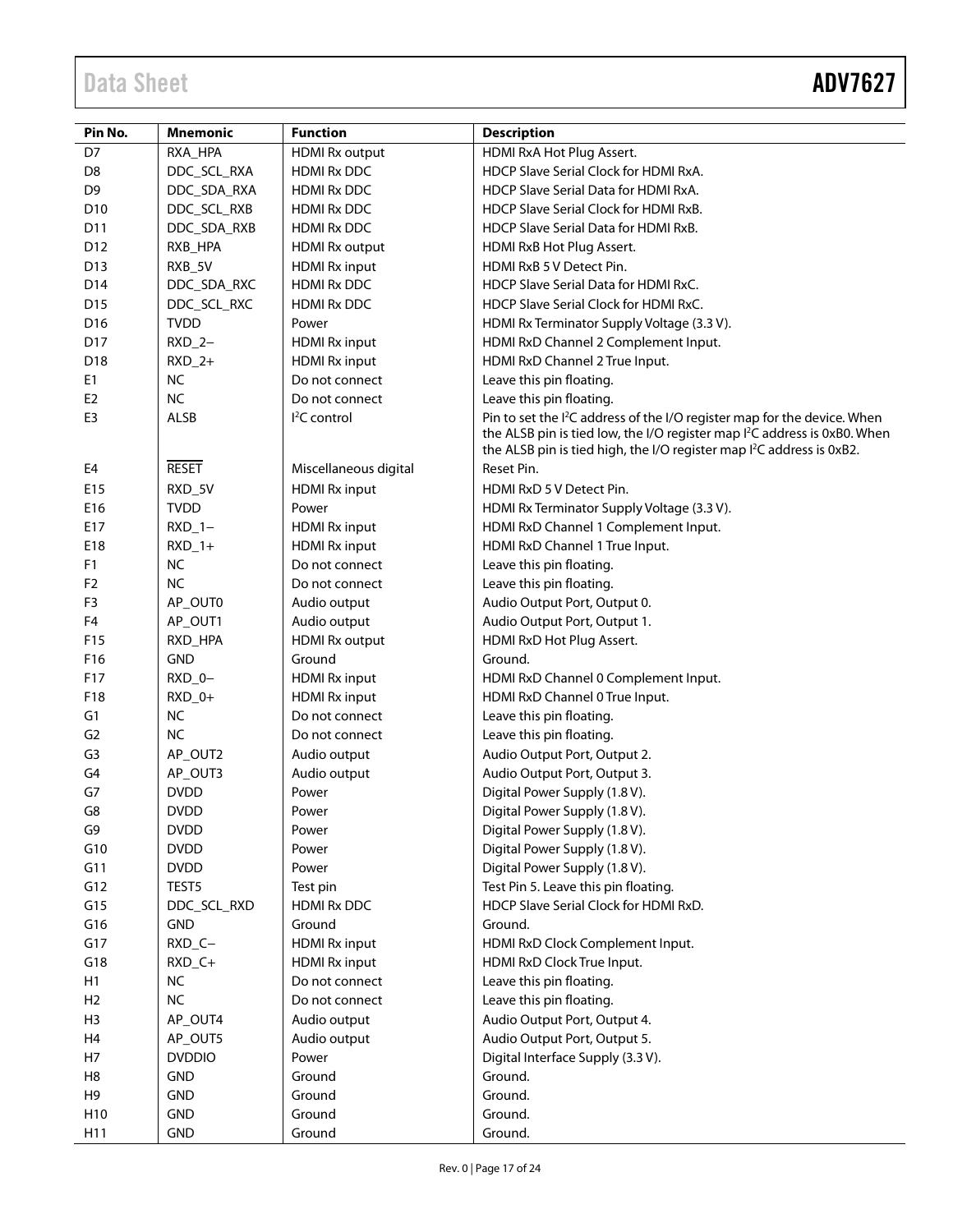| Pin No.         | <b>Mnemonic</b>        | <b>Function</b>       | <b>Description</b>                                                                                                                                                                                                                                                 |
|-----------------|------------------------|-----------------------|--------------------------------------------------------------------------------------------------------------------------------------------------------------------------------------------------------------------------------------------------------------------|
| D7              | RXA_HPA                | <b>HDMI Rx output</b> | HDMI RxA Hot Plug Assert.                                                                                                                                                                                                                                          |
| D8              | DDC_SCL_RXA            | <b>HDMI Rx DDC</b>    | HDCP Slave Serial Clock for HDMI RxA.                                                                                                                                                                                                                              |
| D <sub>9</sub>  | DDC_SDA_RXA            | <b>HDMI Rx DDC</b>    | HDCP Slave Serial Data for HDMI RxA.                                                                                                                                                                                                                               |
| D <sub>10</sub> | DDC_SCL_RXB            | <b>HDMI Rx DDC</b>    | HDCP Slave Serial Clock for HDMI RxB.                                                                                                                                                                                                                              |
| D11             |                        | <b>HDMI Rx DDC</b>    | HDCP Slave Serial Data for HDMI RxB.                                                                                                                                                                                                                               |
| D <sub>12</sub> | DDC_SDA_RXB<br>RXB_HPA |                       |                                                                                                                                                                                                                                                                    |
|                 |                        | <b>HDMI Rx output</b> | HDMI RxB Hot Plug Assert.                                                                                                                                                                                                                                          |
| D <sub>13</sub> | RXB_5V                 | <b>HDMI Rx input</b>  | HDMI RxB 5 V Detect Pin.                                                                                                                                                                                                                                           |
| D14             | DDC_SDA_RXC            | <b>HDMI Rx DDC</b>    | HDCP Slave Serial Data for HDMI RxC.                                                                                                                                                                                                                               |
| D <sub>15</sub> | DDC_SCL_RXC            | <b>HDMI Rx DDC</b>    | HDCP Slave Serial Clock for HDMI RxC.                                                                                                                                                                                                                              |
| D <sub>16</sub> | <b>TVDD</b>            | Power                 | HDMI Rx Terminator Supply Voltage (3.3 V).                                                                                                                                                                                                                         |
| D17             | $RXD_2-$               | <b>HDMI Rx input</b>  | HDMI RxD Channel 2 Complement Input.                                                                                                                                                                                                                               |
| D <sub>18</sub> | $RXD_2+$               | <b>HDMI Rx input</b>  | HDMI RxD Channel 2 True Input.                                                                                                                                                                                                                                     |
| E <sub>1</sub>  | <b>NC</b>              | Do not connect        | Leave this pin floating.                                                                                                                                                                                                                                           |
| E <sub>2</sub>  | <b>NC</b>              | Do not connect        | Leave this pin floating.                                                                                                                                                                                                                                           |
| E <sub>3</sub>  | <b>ALSB</b>            | $I2C$ control         | Pin to set the I <sup>2</sup> C address of the I/O register map for the device. When<br>the ALSB pin is tied low, the I/O register map I <sup>2</sup> C address is 0xB0. When<br>the ALSB pin is tied high, the I/O register map I <sup>2</sup> C address is 0xB2. |
| E4              | <b>RESET</b>           | Miscellaneous digital | Reset Pin.                                                                                                                                                                                                                                                         |
| E15             | RXD_5V                 | <b>HDMI Rx input</b>  | HDMI RxD 5 V Detect Pin.                                                                                                                                                                                                                                           |
| E16             | <b>TVDD</b>            | Power                 | HDMI Rx Terminator Supply Voltage (3.3 V).                                                                                                                                                                                                                         |
| E17             | $RXD_1-$               | <b>HDMI Rx input</b>  | HDMI RxD Channel 1 Complement Input.                                                                                                                                                                                                                               |
| E18             | $RXD_1+$               | <b>HDMI Rx input</b>  | HDMI RxD Channel 1 True Input.                                                                                                                                                                                                                                     |
| F <sub>1</sub>  | <b>NC</b>              | Do not connect        | Leave this pin floating.                                                                                                                                                                                                                                           |
| F <sub>2</sub>  | <b>NC</b>              | Do not connect        | Leave this pin floating.                                                                                                                                                                                                                                           |
| F <sub>3</sub>  | AP_OUT0                | Audio output          | Audio Output Port, Output 0.                                                                                                                                                                                                                                       |
| F4              |                        | Audio output          |                                                                                                                                                                                                                                                                    |
| F15             | AP_OUT1                |                       | Audio Output Port, Output 1.                                                                                                                                                                                                                                       |
|                 | RXD_HPA                | <b>HDMI Rx output</b> | HDMI RxD Hot Plug Assert.                                                                                                                                                                                                                                          |
| F16             | <b>GND</b>             | Ground                | Ground.                                                                                                                                                                                                                                                            |
| F17             | RXD_0-                 | <b>HDMI Rx input</b>  | HDMI RxD Channel 0 Complement Input.                                                                                                                                                                                                                               |
| F18             | $RXD_0+$               | <b>HDMI Rx input</b>  | HDMI RxD Channel 0 True Input.                                                                                                                                                                                                                                     |
| G1              | <b>NC</b><br><b>NC</b> | Do not connect        | Leave this pin floating.                                                                                                                                                                                                                                           |
| G <sub>2</sub>  |                        | Do not connect        | Leave this pin floating.                                                                                                                                                                                                                                           |
| G <sub>3</sub>  | AP_OUT2                | Audio output          | Audio Output Port, Output 2.                                                                                                                                                                                                                                       |
| G4              | AP_OUT3                | Audio output          | Audio Output Port, Output 3.                                                                                                                                                                                                                                       |
| G7              | <b>DVDD</b>            | Power                 | Digital Power Supply (1.8 V).                                                                                                                                                                                                                                      |
| G8              | <b>DVDD</b>            | Power                 | Digital Power Supply (1.8 V).                                                                                                                                                                                                                                      |
| G9              | <b>DVDD</b>            | Power                 | Digital Power Supply (1.8 V).                                                                                                                                                                                                                                      |
| G10             | <b>DVDD</b>            | Power                 | Digital Power Supply (1.8 V).                                                                                                                                                                                                                                      |
| G11             | <b>DVDD</b>            | Power                 | Digital Power Supply (1.8 V).                                                                                                                                                                                                                                      |
| G12             | TEST5                  | Test pin              | Test Pin 5. Leave this pin floating.                                                                                                                                                                                                                               |
| G15             | DDC_SCL_RXD            | <b>HDMI Rx DDC</b>    | HDCP Slave Serial Clock for HDMI RxD.                                                                                                                                                                                                                              |
| G16             | <b>GND</b>             | Ground                | Ground.                                                                                                                                                                                                                                                            |
| G17             | $RXD_C -$              | <b>HDMI Rx input</b>  | HDMI RxD Clock Complement Input.                                                                                                                                                                                                                                   |
| G18             | $RXD_C+$               | <b>HDMI Rx input</b>  | HDMI RxD Clock True Input.                                                                                                                                                                                                                                         |
| H1              | <b>NC</b>              | Do not connect        | Leave this pin floating.                                                                                                                                                                                                                                           |
| H <sub>2</sub>  | $NC$                   | Do not connect        | Leave this pin floating.                                                                                                                                                                                                                                           |
| H <sub>3</sub>  | AP_OUT4                | Audio output          | Audio Output Port, Output 4.                                                                                                                                                                                                                                       |
| H4              | AP_OUT5                | Audio output          | Audio Output Port, Output 5.                                                                                                                                                                                                                                       |
| H7              | <b>DVDDIO</b>          | Power                 | Digital Interface Supply (3.3 V).                                                                                                                                                                                                                                  |
| H8              | <b>GND</b>             | Ground                | Ground.                                                                                                                                                                                                                                                            |
| H9              | <b>GND</b>             | Ground                | Ground.                                                                                                                                                                                                                                                            |
| H <sub>10</sub> | <b>GND</b>             | Ground                | Ground.                                                                                                                                                                                                                                                            |
| H11             | <b>GND</b>             | Ground                | Ground.                                                                                                                                                                                                                                                            |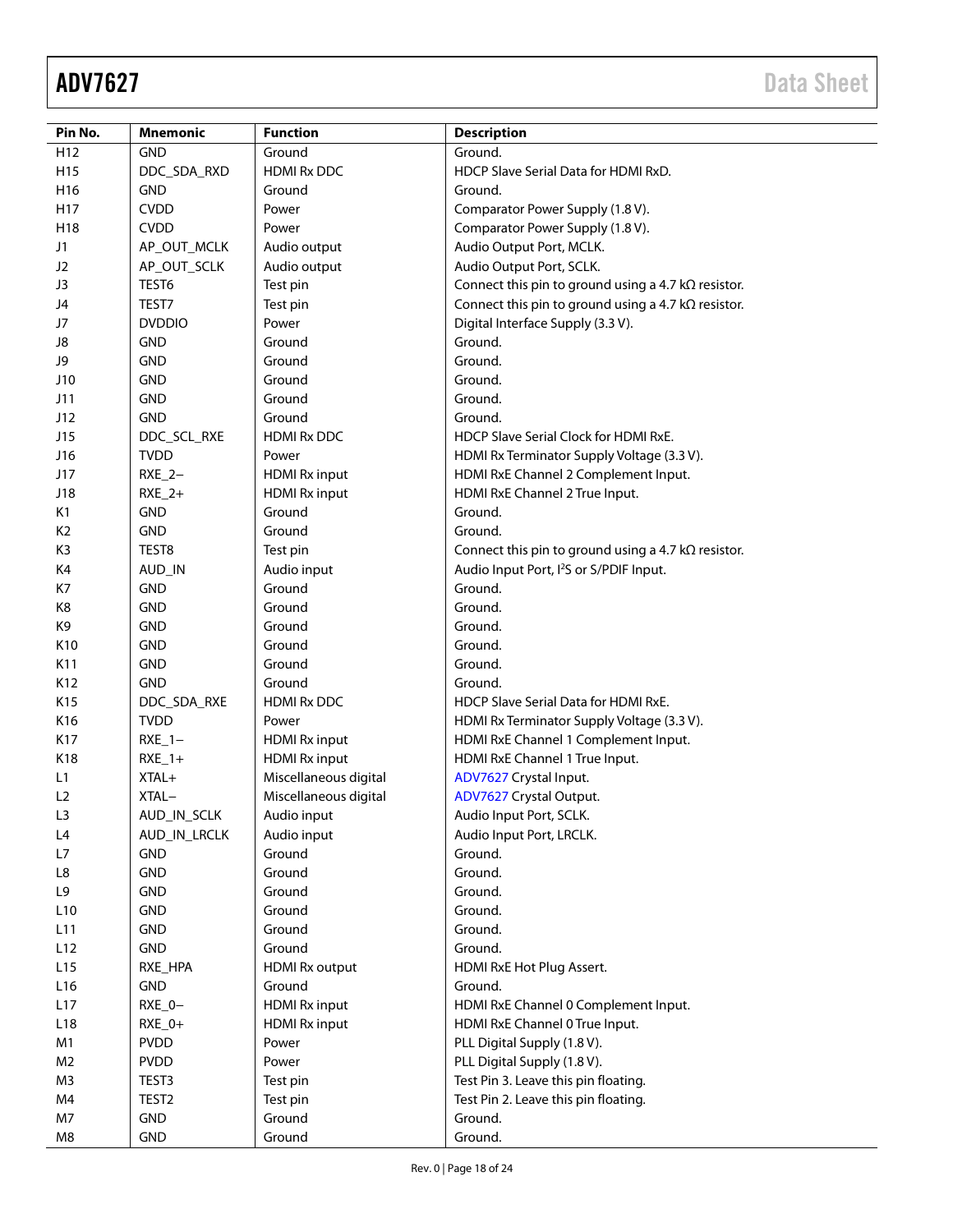| Pin No.         | <b>Mnemonic</b>   | <b>Function</b>       | <b>Description</b>                                         |
|-----------------|-------------------|-----------------------|------------------------------------------------------------|
| H <sub>12</sub> | <b>GND</b>        | Ground                | Ground.                                                    |
| H <sub>15</sub> | DDC_SDA_RXD       | <b>HDMI Rx DDC</b>    | HDCP Slave Serial Data for HDMI RxD.                       |
| H <sub>16</sub> | <b>GND</b>        | Ground                | Ground.                                                    |
| H17             | <b>CVDD</b>       | Power                 | Comparator Power Supply (1.8 V).                           |
| H18             | <b>CVDD</b>       | Power                 | Comparator Power Supply (1.8 V).                           |
| J1              | AP_OUT_MCLK       | Audio output          | Audio Output Port, MCLK.                                   |
| J <sub>2</sub>  | AP_OUT_SCLK       | Audio output          | Audio Output Port, SCLK.                                   |
| J3              | TEST6             | Test pin              | Connect this pin to ground using a 4.7 $k\Omega$ resistor. |
| J4              | TEST7             | Test pin              | Connect this pin to ground using a 4.7 $k\Omega$ resistor. |
| J7              | <b>DVDDIO</b>     | Power                 | Digital Interface Supply (3.3 V).                          |
| J8              | <b>GND</b>        | Ground                | Ground.                                                    |
| J9              | <b>GND</b>        | Ground                | Ground.                                                    |
| J10             | <b>GND</b>        | Ground                | Ground.                                                    |
| J11             | <b>GND</b>        | Ground                | Ground.                                                    |
| J12             | <b>GND</b>        | Ground                | Ground.                                                    |
| J15             | DDC_SCL_RXE       | <b>HDMI Rx DDC</b>    | HDCP Slave Serial Clock for HDMI RxE.                      |
| J16             | <b>TVDD</b>       | Power                 | HDMI Rx Terminator Supply Voltage (3.3 V).                 |
| J17             | $RXE_2-$          | <b>HDMI Rx input</b>  | HDMI RxE Channel 2 Complement Input.                       |
| J18             | $RXE_2+$          | <b>HDMI Rx input</b>  | HDMI RxE Channel 2 True Input.                             |
| K1              | <b>GND</b>        | Ground                | Ground.                                                    |
| K <sub>2</sub>  | <b>GND</b>        | Ground                | Ground.                                                    |
| K3              | TEST8             | Test pin              | Connect this pin to ground using a 4.7 $k\Omega$ resistor. |
| K4              | AUD_IN            | Audio input           | Audio Input Port, I <sup>2</sup> S or S/PDIF Input.        |
| K7              | <b>GND</b>        | Ground                | Ground.                                                    |
| K8              | <b>GND</b>        | Ground                | Ground.                                                    |
| K9              | <b>GND</b>        | Ground                | Ground.                                                    |
| K10             | <b>GND</b>        | Ground                | Ground.                                                    |
| K11             | <b>GND</b>        | Ground                | Ground.                                                    |
| K12             | <b>GND</b>        | Ground                | Ground.                                                    |
| K15             | DDC_SDA_RXE       | <b>HDMI Rx DDC</b>    | HDCP Slave Serial Data for HDMI RxE.                       |
| K16             | <b>TVDD</b>       | Power                 | HDMI Rx Terminator Supply Voltage (3.3 V).                 |
| K17             | $RXE_1 -$         | <b>HDMI Rx input</b>  | HDMI RxE Channel 1 Complement Input.                       |
| K18             | $RXE_1+$          | <b>HDMI Rx input</b>  | HDMI RxE Channel 1 True Input.                             |
| L1              | XTAL+             | Miscellaneous digital | ADV7627 Crystal Input.                                     |
| L <sub>2</sub>  | XTAL-             | Miscellaneous digital | ADV7627 Crystal Output.                                    |
| L3              | AUD_IN_SCLK       | Audio input           | Audio Input Port, SCLK.                                    |
| L4              | AUD_IN_LRCLK      | Audio input           | Audio Input Port, LRCLK.                                   |
| L7              | <b>GND</b>        | Ground                | Ground.                                                    |
| L8              | <b>GND</b>        | Ground                | Ground.                                                    |
| L9              | <b>GND</b>        | Ground                | Ground.                                                    |
| L <sub>10</sub> | <b>GND</b>        | Ground                | Ground.                                                    |
| L11             | <b>GND</b>        | Ground                | Ground.                                                    |
| L12             | <b>GND</b>        | Ground                | Ground.                                                    |
| L15             | RXE_HPA           | <b>HDMI Rx output</b> | HDMI RxE Hot Plug Assert.                                  |
| L16             | GND               | Ground                | Ground.                                                    |
| L17             | $RXE_0 -$         | <b>HDMI Rx input</b>  | HDMI RxE Channel 0 Complement Input.                       |
| L <sub>18</sub> | $RXE_0+$          | <b>HDMI Rx input</b>  | HDMI RxE Channel 0 True Input.                             |
| M1              | <b>PVDD</b>       | Power                 | PLL Digital Supply (1.8 V).                                |
| M <sub>2</sub>  | <b>PVDD</b>       | Power                 | PLL Digital Supply (1.8 V).                                |
| M3              | TEST3             | Test pin              | Test Pin 3. Leave this pin floating.                       |
| M4              | TEST <sub>2</sub> | Test pin              | Test Pin 2. Leave this pin floating.                       |
| M7              | <b>GND</b>        | Ground                | Ground.                                                    |
| M8              | <b>GND</b>        | Ground                | Ground.                                                    |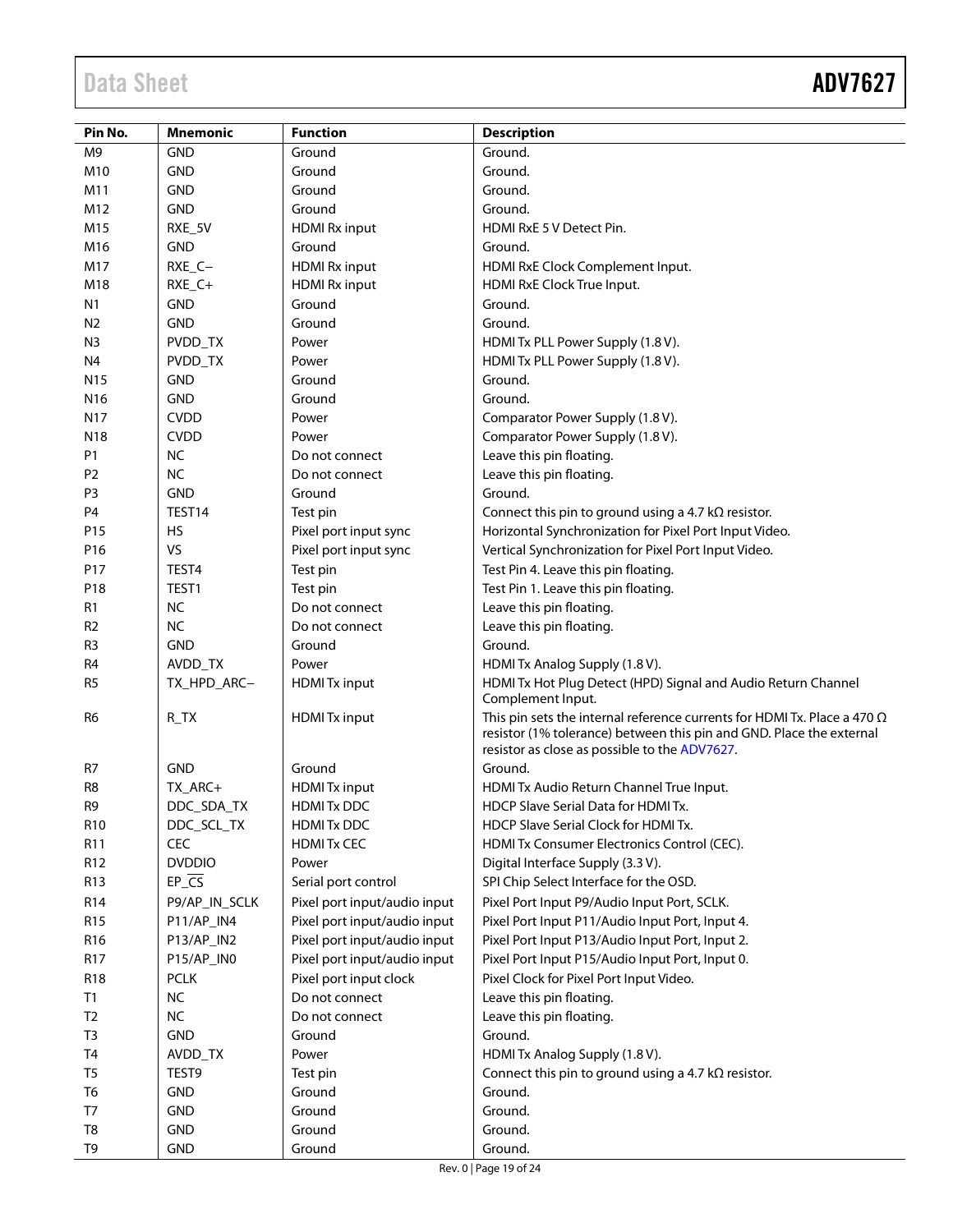| Pin No.         | <b>Mnemonic</b> | <b>Function</b>              | <b>Description</b>                                                                                                                                      |
|-----------------|-----------------|------------------------------|---------------------------------------------------------------------------------------------------------------------------------------------------------|
| M9              | <b>GND</b>      | Ground                       | Ground.                                                                                                                                                 |
| M10             | <b>GND</b>      | Ground                       | Ground.                                                                                                                                                 |
| M11             | <b>GND</b>      | Ground                       | Ground.                                                                                                                                                 |
| M12             | <b>GND</b>      | Ground                       | Ground.                                                                                                                                                 |
| M15             | RXE_5V          | <b>HDMI Rx input</b>         | HDMI RxE 5 V Detect Pin.                                                                                                                                |
| M16             | <b>GND</b>      | Ground                       | Ground.                                                                                                                                                 |
| M17             | RXE_C-          | <b>HDMI Rx input</b>         | HDMI RxE Clock Complement Input.                                                                                                                        |
| M18             | RXE_C+          | <b>HDMI Rx input</b>         | HDMI RxE Clock True Input.                                                                                                                              |
| N1              | <b>GND</b>      | Ground                       | Ground.                                                                                                                                                 |
| N <sub>2</sub>  | <b>GND</b>      | Ground                       | Ground.                                                                                                                                                 |
| N <sub>3</sub>  | PVDD_TX         | Power                        | HDMI Tx PLL Power Supply (1.8 V).                                                                                                                       |
| N4              | PVDD_TX         | Power                        | HDMI Tx PLL Power Supply (1.8 V).                                                                                                                       |
| N <sub>15</sub> | <b>GND</b>      | Ground                       | Ground.                                                                                                                                                 |
| N <sub>16</sub> | <b>GND</b>      | Ground                       | Ground.                                                                                                                                                 |
| N17             | <b>CVDD</b>     | Power                        | Comparator Power Supply (1.8 V).                                                                                                                        |
| N <sub>18</sub> | <b>CVDD</b>     | Power                        | Comparator Power Supply (1.8 V).                                                                                                                        |
| P <sub>1</sub>  | <b>NC</b>       | Do not connect               | Leave this pin floating.                                                                                                                                |
| P <sub>2</sub>  | <b>NC</b>       | Do not connect               | Leave this pin floating.                                                                                                                                |
| P <sub>3</sub>  | <b>GND</b>      | Ground                       | Ground.                                                                                                                                                 |
| P <sub>4</sub>  | TEST14          | Test pin                     | Connect this pin to ground using a 4.7 $k\Omega$ resistor.                                                                                              |
| P15             | <b>HS</b>       | Pixel port input sync        | Horizontal Synchronization for Pixel Port Input Video.                                                                                                  |
| P16             | VS              | Pixel port input sync        | Vertical Synchronization for Pixel Port Input Video.                                                                                                    |
| P17             | TEST4           | Test pin                     | Test Pin 4. Leave this pin floating.                                                                                                                    |
| P18             | TEST1           | Test pin                     | Test Pin 1. Leave this pin floating.                                                                                                                    |
| R1              | <b>NC</b>       | Do not connect               | Leave this pin floating.                                                                                                                                |
| R <sub>2</sub>  | <b>NC</b>       | Do not connect               | Leave this pin floating.                                                                                                                                |
| R <sub>3</sub>  | <b>GND</b>      | Ground                       | Ground.                                                                                                                                                 |
| R <sub>4</sub>  | AVDD_TX         | Power                        | HDMI Tx Analog Supply (1.8 V).                                                                                                                          |
| R <sub>5</sub>  | TX_HPD_ARC-     | <b>HDMITx input</b>          | HDMI Tx Hot Plug Detect (HPD) Signal and Audio Return Channel                                                                                           |
|                 |                 |                              | Complement Input.                                                                                                                                       |
| R <sub>6</sub>  | $R_T X$         | <b>HDMITx input</b>          | This pin sets the internal reference currents for HDMI Tx. Place a 470 $\Omega$<br>resistor (1% tolerance) between this pin and GND. Place the external |
|                 |                 |                              | resistor as close as possible to the ADV7627.                                                                                                           |
| R7              | <b>GND</b>      | Ground                       | Ground.                                                                                                                                                 |
| R <sub>8</sub>  | TX_ARC+         | <b>HDMITx input</b>          | HDMI Tx Audio Return Channel True Input.                                                                                                                |
| R <sub>9</sub>  | DDC_SDA_TX      | <b>HDMIT<sub>x</sub></b> DDC | <b>HDCP Slave Serial Data for HDMITX.</b>                                                                                                               |
| R <sub>10</sub> | DDC_SCL_TX      | <b>HDMITX DDC</b>            | HDCP Slave Serial Clock for HDMI Tx.                                                                                                                    |
| R <sub>11</sub> | CEC             | <b>HDMITX CEC</b>            | HDMI Tx Consumer Electronics Control (CEC).                                                                                                             |
| R <sub>12</sub> | <b>DVDDIO</b>   | Power                        | Digital Interface Supply (3.3 V).                                                                                                                       |
| R <sub>13</sub> | $EP_{CS}$       | Serial port control          | SPI Chip Select Interface for the OSD.                                                                                                                  |
| R14             | P9/AP_IN_SCLK   | Pixel port input/audio input | Pixel Port Input P9/Audio Input Port, SCLK.                                                                                                             |
| R <sub>15</sub> | P11/AP_IN4      | Pixel port input/audio input | Pixel Port Input P11/Audio Input Port, Input 4.                                                                                                         |
| R16             | P13/AP_IN2      | Pixel port input/audio input | Pixel Port Input P13/Audio Input Port, Input 2.                                                                                                         |
| R17             | P15/AP_IN0      | Pixel port input/audio input | Pixel Port Input P15/Audio Input Port, Input 0.                                                                                                         |
| <b>R18</b>      | <b>PCLK</b>     | Pixel port input clock       | Pixel Clock for Pixel Port Input Video.                                                                                                                 |
| T1              | <b>NC</b>       | Do not connect               | Leave this pin floating.                                                                                                                                |
| T <sub>2</sub>  | $NC$            | Do not connect               | Leave this pin floating.                                                                                                                                |
| T <sub>3</sub>  | <b>GND</b>      | Ground                       | Ground.                                                                                                                                                 |
| T4              | AVDD_TX         | Power                        | HDMI Tx Analog Supply (1.8 V).                                                                                                                          |
| T <sub>5</sub>  | TEST9           | Test pin                     | Connect this pin to ground using a 4.7 $k\Omega$ resistor.                                                                                              |
| T6              | <b>GND</b>      | Ground                       | Ground.                                                                                                                                                 |
| T7              | <b>GND</b>      | Ground                       | Ground.                                                                                                                                                 |
| T8              | <b>GND</b>      | Ground                       | Ground.                                                                                                                                                 |
| T9              | <b>GND</b>      | Ground                       | Ground.                                                                                                                                                 |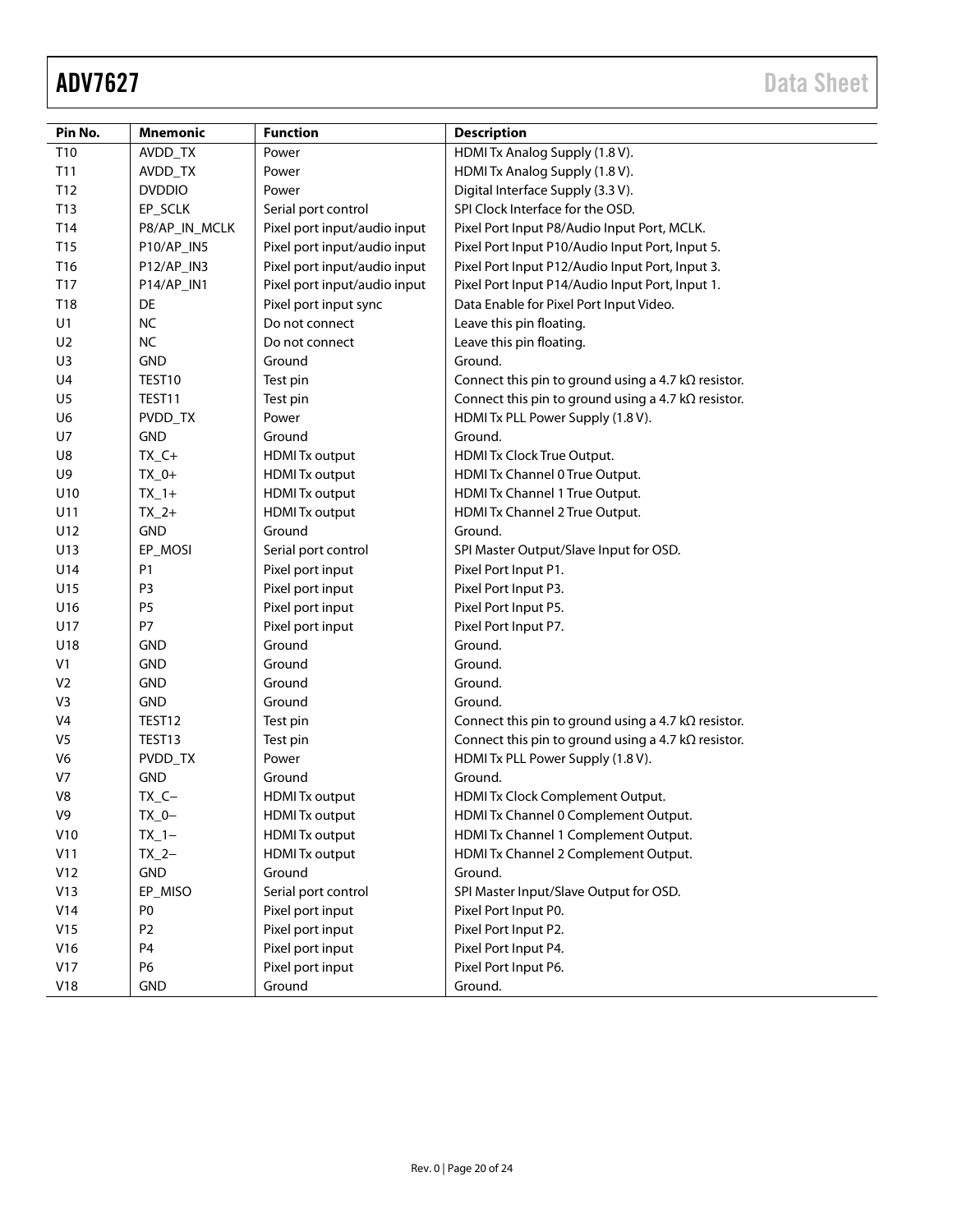| Pin No.        | Mnemonic       | <b>Function</b>              | <b>Description</b>                                         |
|----------------|----------------|------------------------------|------------------------------------------------------------|
| T10            | AVDD_TX        | Power                        | HDMI Tx Analog Supply (1.8 V).                             |
| T11            | AVDD_TX        | Power                        | HDMI Tx Analog Supply (1.8 V).                             |
| T12            | <b>DVDDIO</b>  | Power                        | Digital Interface Supply (3.3 V).                          |
| T13            | EP_SCLK        | Serial port control          | SPI Clock Interface for the OSD.                           |
| T14            | P8/AP_IN_MCLK  | Pixel port input/audio input | Pixel Port Input P8/Audio Input Port, MCLK.                |
| T15            | P10/AP_IN5     | Pixel port input/audio input | Pixel Port Input P10/Audio Input Port, Input 5.            |
| T16            | P12/AP_IN3     | Pixel port input/audio input | Pixel Port Input P12/Audio Input Port, Input 3.            |
| T17            | P14/AP_IN1     | Pixel port input/audio input | Pixel Port Input P14/Audio Input Port, Input 1.            |
| T18            | DE             | Pixel port input sync        | Data Enable for Pixel Port Input Video.                    |
| U1             | <b>NC</b>      | Do not connect               | Leave this pin floating.                                   |
| U <sub>2</sub> | <b>NC</b>      | Do not connect               | Leave this pin floating.                                   |
| U3             | <b>GND</b>     | Ground                       | Ground.                                                    |
| U4             | TEST10         | Test pin                     | Connect this pin to ground using a 4.7 $k\Omega$ resistor. |
| U <sub>5</sub> | TEST11         | Test pin                     | Connect this pin to ground using a 4.7 $k\Omega$ resistor. |
| U6             | PVDD_TX        | Power                        | HDMI Tx PLL Power Supply (1.8 V).                          |
| U7             | <b>GND</b>     | Ground                       | Ground.                                                    |
| U8             | $TX_C +$       | <b>HDMITx output</b>         | HDMI Tx Clock True Output.                                 |
| U9             | $TX_0+$        | <b>HDMITx output</b>         | HDMI Tx Channel 0 True Output.                             |
| U10            | $TX_1+$        | <b>HDMI</b> Tx output        | HDMI Tx Channel 1 True Output.                             |
| U11            | $TX_2+$        | <b>HDMITx output</b>         | HDMI Tx Channel 2 True Output.                             |
| U12            | <b>GND</b>     | Ground                       | Ground.                                                    |
| U13            | EP_MOSI        | Serial port control          | SPI Master Output/Slave Input for OSD.                     |
| U14            | P <sub>1</sub> | Pixel port input             | Pixel Port Input P1.                                       |
| U15            | P <sub>3</sub> | Pixel port input             | Pixel Port Input P3.                                       |
| U16            | P <sub>5</sub> | Pixel port input             | Pixel Port Input P5.                                       |
| U17            | P7             | Pixel port input             | Pixel Port Input P7.                                       |
| U18            | <b>GND</b>     | Ground                       | Ground.                                                    |
| V1             | <b>GND</b>     | Ground                       | Ground.                                                    |
| V <sub>2</sub> | <b>GND</b>     | Ground                       | Ground.                                                    |
| V <sub>3</sub> | <b>GND</b>     | Ground                       | Ground.                                                    |
| V <sub>4</sub> | TEST12         | Test pin                     | Connect this pin to ground using a 4.7 $k\Omega$ resistor. |
| V <sub>5</sub> | TEST13         | Test pin                     | Connect this pin to ground using a 4.7 $k\Omega$ resistor. |
| V <sub>6</sub> | PVDD_TX        | Power                        | HDMI Tx PLL Power Supply (1.8 V).                          |
| V <sub>7</sub> | <b>GND</b>     | Ground                       | Ground.                                                    |
| V8             | $TX_C -$       | <b>HDMI</b> Tx output        | HDMI Tx Clock Complement Output.                           |
| V9             | $TX_0$ -       | <b>HDMI</b> Tx output        | HDMI Tx Channel 0 Complement Output.                       |
| V10            | $TX_1$ -       | <b>HDMITx output</b>         | HDMI Tx Channel 1 Complement Output.                       |
| V11            | $TX_2-$        | <b>HDMI</b> Tx output        | HDMI Tx Channel 2 Complement Output.                       |
| V12            | GND            | Ground                       | Ground.                                                    |
| V13            | EP_MISO        | Serial port control          | SPI Master Input/Slave Output for OSD.                     |
| V14            | P <sub>0</sub> | Pixel port input             | Pixel Port Input P0.                                       |
| V15            | P <sub>2</sub> | Pixel port input             | Pixel Port Input P2.                                       |
| V16            | P <sub>4</sub> | Pixel port input             | Pixel Port Input P4.                                       |
| V17            | P6             | Pixel port input             | Pixel Port Input P6.                                       |
| V18            | GND            | Ground                       | Ground.                                                    |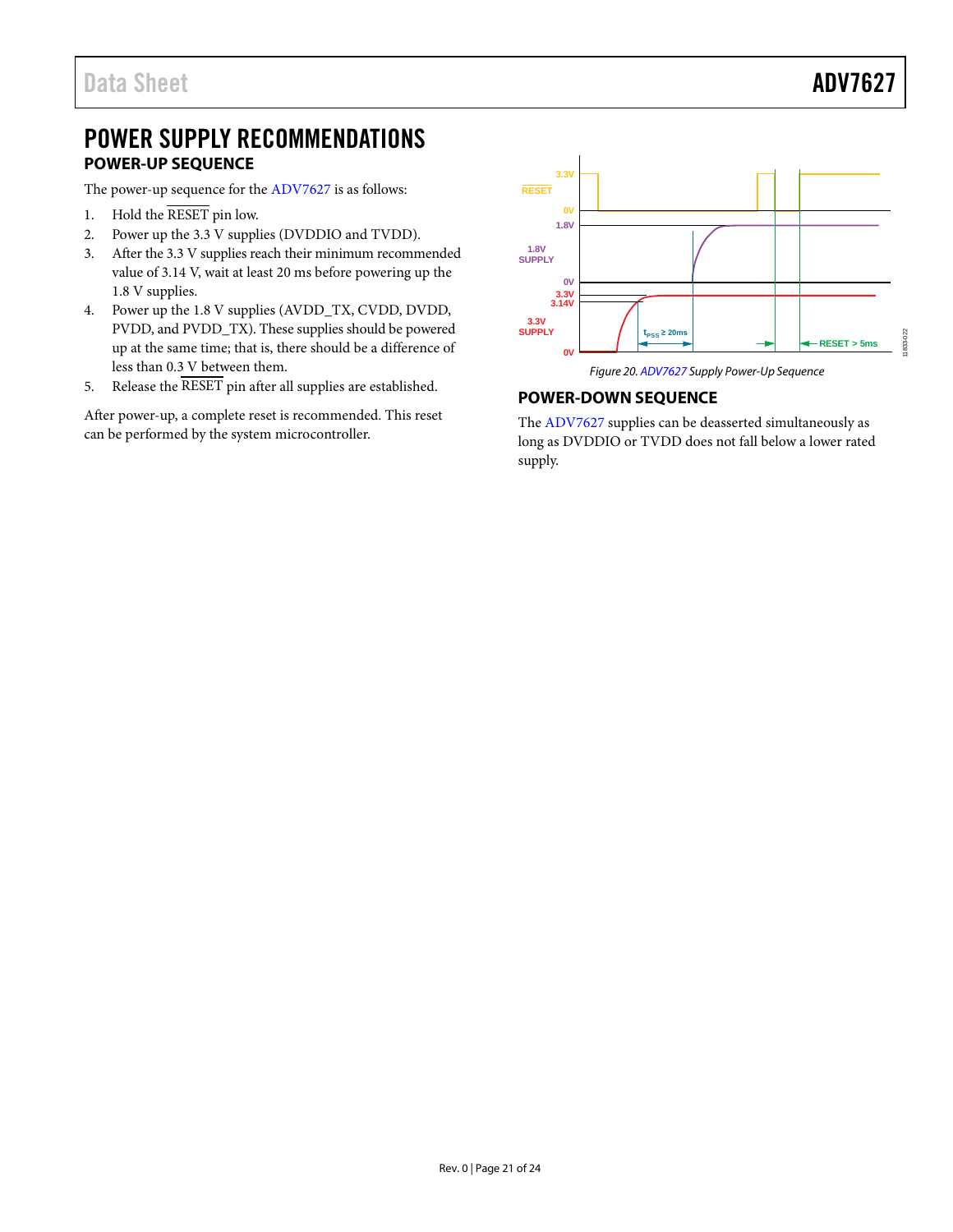# <span id="page-20-0"></span>POWER SUPPLY RECOMMENDATIONS **POWER-UP SEQUENCE**

<span id="page-20-1"></span>The power-up sequence for the [ADV7627](http://www.analog.com/ADV7627?doc=ADV7627.pdf) is as follows:

- 1. Hold the RESET pin low.
- 2. Power up the 3.3 V supplies (DVDDIO and TVDD).
- 3. After the 3.3 V supplies reach their minimum recommended value of 3.14 V, wait at least 20 ms before powering up the 1.8 V supplies.
- 4. Power up the 1.8 V supplies (AVDD\_TX, CVDD, DVDD, PVDD, and PVDD\_TX). These supplies should be powered up at the same time; that is, there should be a difference of less than 0.3 V between them.
- 5. Release the  $\overline{\text{RESET}}$  pin after all supplies are established.

After power-up, a complete reset is recommended. This reset can be performed by the system microcontroller.



*Figure 20[. ADV7627](http://www.analog.com/ADV7627?doc=ADV7627.pdf) Supply Power-Up Sequence*

## <span id="page-20-2"></span>**POWER-DOWN SEQUENCE**

The [ADV7627](http://www.analog.com/ADV7627?doc=ADV7627.pdf) supplies can be deasserted simultaneously as long as DVDDIO or TVDD does not fall below a lower rated supply.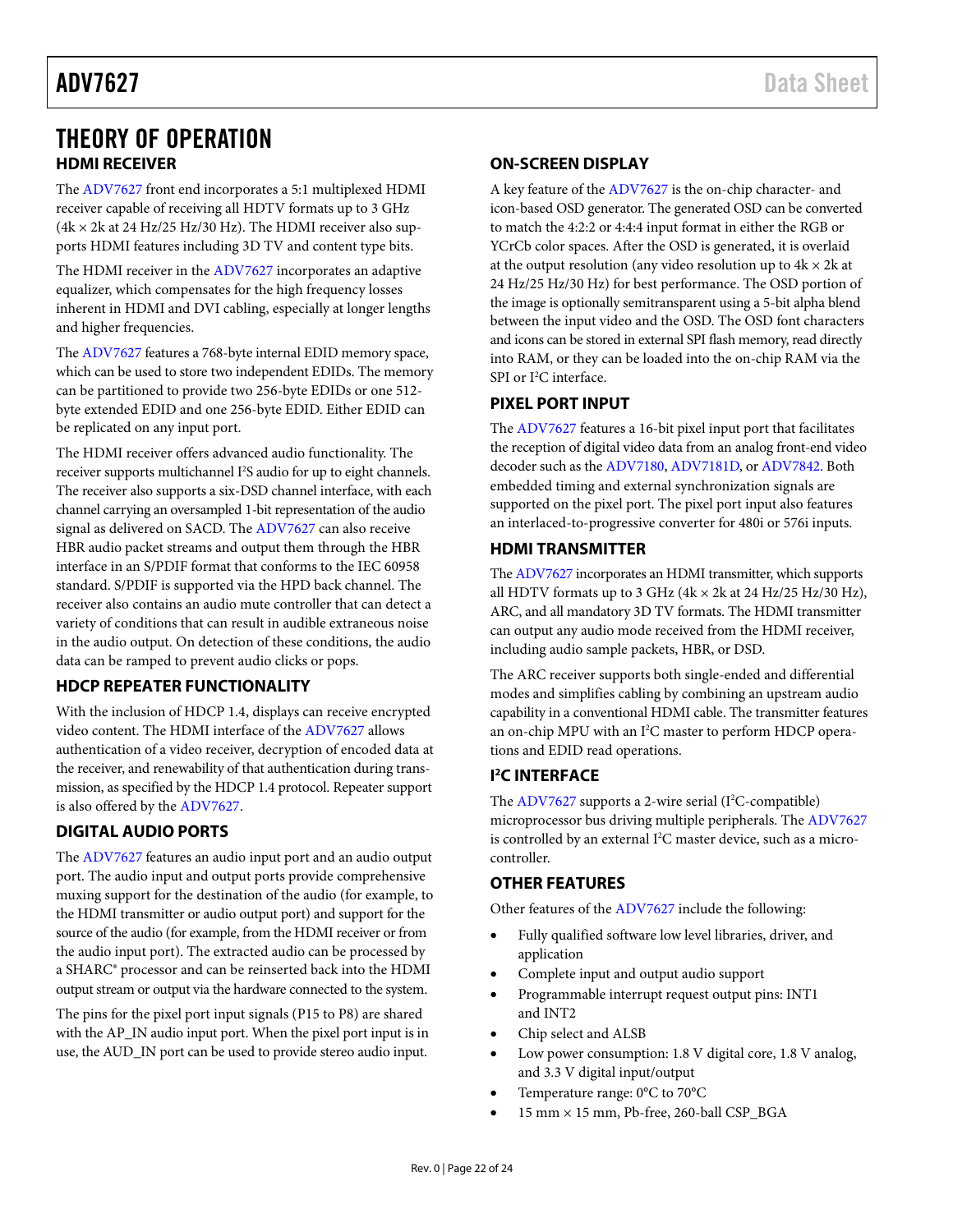# <span id="page-21-0"></span>THEORY OF OPERATION **HDMI RECEIVER**

<span id="page-21-1"></span>The [ADV7627](http://www.analog.com/ADV7627?doc=ADV7627.pdf) front end incorporates a 5:1 multiplexed HDMI receiver capable of receiving all HDTV formats up to 3 GHz  $(4k \times 2k$  at 24 Hz/25 Hz/30 Hz). The HDMI receiver also supports HDMI features including 3D TV and content type bits.

The HDMI receiver in the [ADV7627](http://www.analog.com/ADV7627?doc=ADV7627.pdf) incorporates an adaptive equalizer, which compensates for the high frequency losses inherent in HDMI and DVI cabling, especially at longer lengths and higher frequencies.

Th[e ADV7627](http://www.analog.com/ADV7627?doc=ADV7627.pdf) features a 768-byte internal EDID memory space, which can be used to store two independent EDIDs. The memory can be partitioned to provide two 256-byte EDIDs or one 512 byte extended EDID and one 256-byte EDID. Either EDID can be replicated on any input port.

The HDMI receiver offers advanced audio functionality. The receiver supports multichannel I<sup>2</sup>S audio for up to eight channels. The receiver also supports a six-DSD channel interface, with each channel carrying an oversampled 1-bit representation of the audio signal as delivered on SACD. Th[e ADV7627](http://www.analog.com/ADV7627?doc=ADV7627.pdf) can also receive HBR audio packet streams and output them through the HBR interface in an S/PDIF format that conforms to the IEC 60958 standard. S/PDIF is supported via the HPD back channel. The receiver also contains an audio mute controller that can detect a variety of conditions that can result in audible extraneous noise in the audio output. On detection of these conditions, the audio data can be ramped to prevent audio clicks or pops.

## <span id="page-21-2"></span>**HDCP REPEATER FUNCTIONALITY**

With the inclusion of HDCP 1.4, displays can receive encrypted video content. The HDMI interface of the [ADV7627](http://www.analog.com/ADV7627?doc=ADV7627.pdf) allows authentication of a video receiver, decryption of encoded data at the receiver, and renewability of that authentication during transmission, as specified by the HDCP 1.4 protocol. Repeater support is also offered by th[e ADV7627.](http://www.analog.com/ADV7627?doc=ADV7627.pdf)

## <span id="page-21-3"></span>**DIGITAL AUDIO PORTS**

The [ADV7627](http://www.analog.com/ADV7627?doc=ADV7627.pdf) features an audio input port and an audio output port. The audio input and output ports provide comprehensive muxing support for the destination of the audio (for example, to the HDMI transmitter or audio output port) and support for the source of the audio (for example, from the HDMI receiver or from the audio input port). The extracted audio can be processed by a SHARC® processor and can be reinserted back into the HDMI output stream or output via the hardware connected to the system.

The pins for the pixel port input signals (P15 to P8) are shared with the AP\_IN audio input port. When the pixel port input is in use, the AUD\_IN port can be used to provide stereo audio input.

## <span id="page-21-4"></span>**ON-SCREEN DISPLAY**

A key feature of the [ADV7627](http://www.analog.com/ADV7627?doc=ADV7627.pdf) is the on-chip character- and icon-based OSD generator. The generated OSD can be converted to match the 4:2:2 or 4:4:4 input format in either the RGB or YCrCb color spaces. After the OSD is generated, it is overlaid at the output resolution (any video resolution up to  $4k \times 2k$  at 24 Hz/25 Hz/30 Hz) for best performance. The OSD portion of the image is optionally semitransparent using a 5-bit alpha blend between the input video and the OSD. The OSD font characters and icons can be stored in external SPI flash memory, read directly into RAM, or they can be loaded into the on-chip RAM via the SPI or I<sup>2</sup>C interface.

## <span id="page-21-5"></span>**PIXEL PORT INPUT**

The [ADV7627](http://www.analog.com/ADV7627?doc=ADV7627.pdf) features a 16-bit pixel input port that facilitates the reception of digital video data from an analog front-end video decoder such as th[e ADV7180,](http://www.analog.com/ADV7180?doc=ADV7627.pdf) [ADV7181D,](http://www.analog.com/ADV7181D?doc=ADV7627.pdf) o[r ADV7842.](http://www.analog.com/ADV7842?doc=ADV7627.pdf) Both embedded timing and external synchronization signals are supported on the pixel port. The pixel port input also features an interlaced-to-progressive converter for 480i or 576i inputs.

## <span id="page-21-6"></span>**HDMI TRANSMITTER**

Th[e ADV7627](http://www.analog.com/ADV7627?doc=ADV7627.pdf) incorporates an HDMI transmitter, which supports all HDTV formats up to 3 GHz ( $4k \times 2k$  at 24 Hz/25 Hz/30 Hz), ARC, and all mandatory 3D TV formats. The HDMI transmitter can output any audio mode received from the HDMI receiver, including audio sample packets, HBR, or DSD.

The ARC receiver supports both single-ended and differential modes and simplifies cabling by combining an upstream audio capability in a conventional HDMI cable. The transmitter features an on-chip MPU with an I2 C master to perform HDCP operations and EDID read operations.

## <span id="page-21-7"></span>**I 2 C INTERFACE**

The [ADV7627](http://www.analog.com/ADV7627?doc=ADV7627.pdf) supports a 2-wire serial (I<sup>2</sup>C-compatible) microprocessor bus driving multiple peripherals. The [ADV7627](http://www.analog.com/ADV7627?doc=ADV7627.pdf) is controlled by an external I<sup>2</sup>C master device, such as a microcontroller.

## <span id="page-21-8"></span>**OTHER FEATURES**

Other features of th[e ADV7627](http://www.analog.com/ADV7627?doc=ADV7627.pdf) include the following:

- Fully qualified software low level libraries, driver, and application
- Complete input and output audio support
- Programmable interrupt request output pins: INT1 and INT2
- Chip select and ALSB
- Low power consumption: 1.8 V digital core, 1.8 V analog, and 3.3 V digital input/output
- Temperature range: 0°C to 70°C
- 15 mm × 15 mm, Pb-free, 260-ball CSP\_BGA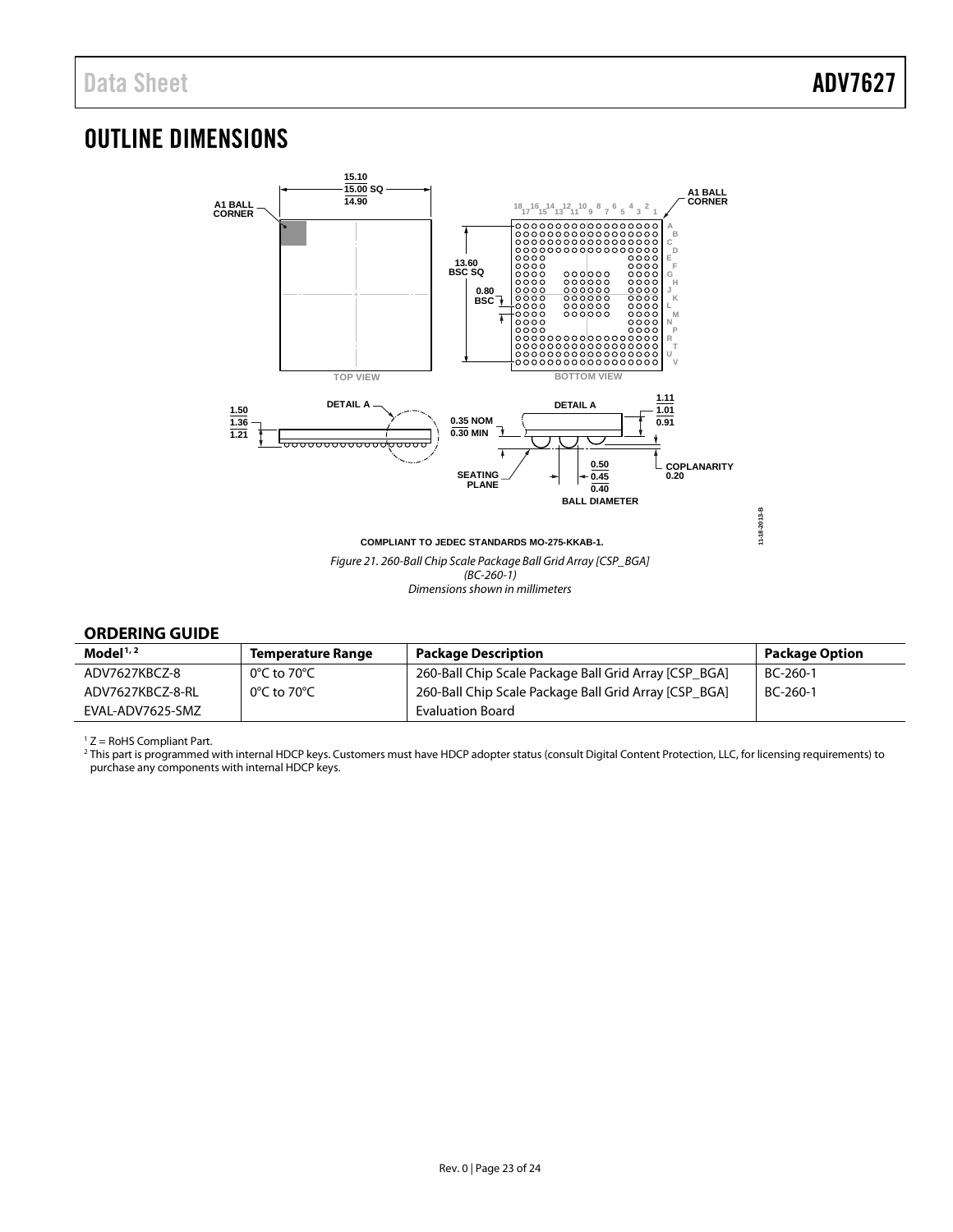# <span id="page-22-0"></span>OUTLINE DIMENSIONS



## <span id="page-22-1"></span>**ORDERING GUIDE**

| Model $1/2$      | <b>Temperature Range</b>         | <b>Package Description</b>                            | <b>Package Option</b> |
|------------------|----------------------------------|-------------------------------------------------------|-----------------------|
| ADV7627KBCZ-8    | $0^{\circ}$ C to 70 $^{\circ}$ C | 260-Ball Chip Scale Package Ball Grid Array [CSP BGA] | BC-260-1              |
| ADV7627KBCZ-8-RL | $0^{\circ}$ C to 70 $^{\circ}$ C | 260-Ball Chip Scale Package Ball Grid Array [CSP BGA] | BC-260-1              |
| EVAL-ADV7625-SMZ |                                  | <b>Evaluation Board</b>                               |                       |

<sup>1</sup> Z = RoHS Compliant Part.

<sup>2</sup> This part is programmed with internal HDCP keys. Customers must have HDCP adopter status (consult Digital Content Protection, LLC, for licensing requirements) to purchase any components with internal HDCP keys.